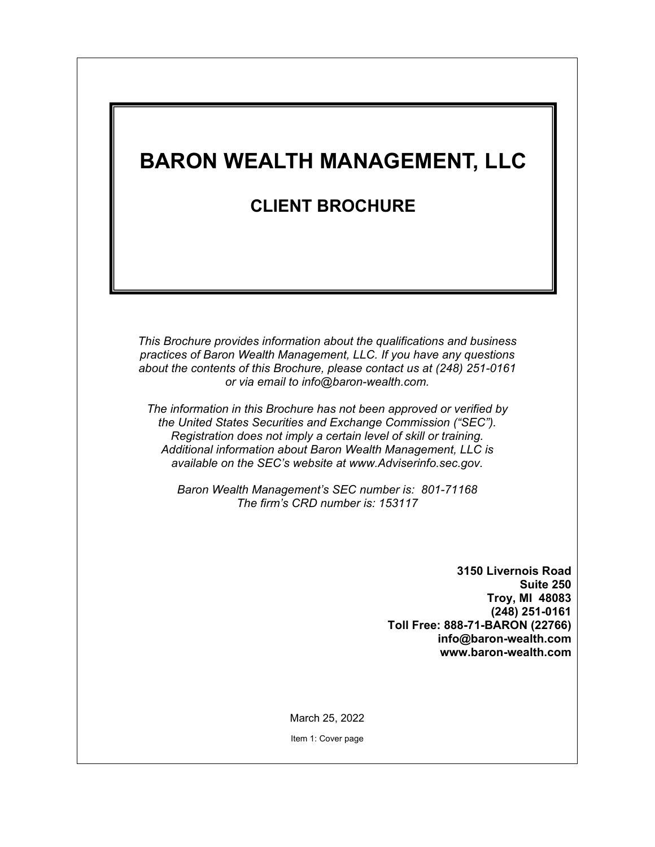# **BARON WEALTH MANAGEMENT, LLC**

### **CLIENT BROCHURE**

*This Brochure provides information about the qualifications and business practices of Baron Wealth Management, LLC. If you have any questions about the contents of this Brochure, please contact us at (248) 251-0161 or via email to info@baron-wealth.com.* 

*The information in this Brochure has not been approved or verified by the United States Securities and Exchange Commission ("SEC"). Registration does not imply a certain level of skill or training. Additional information about Baron Wealth Management, LLC is available on the SEC's website at www.Adviserinfo.sec.gov.* 

*Baron Wealth Management's SEC number is: 801-71168 The firm's CRD number is: 153117*

> **3150 Livernois Road Suite 250 Troy, MI 48083 (248) 251-0161 Toll Free: 888-71-BARON (22766) info@baron-wealth.com www.baron-wealth.com**

March 25, 2022

Item 1: Cover page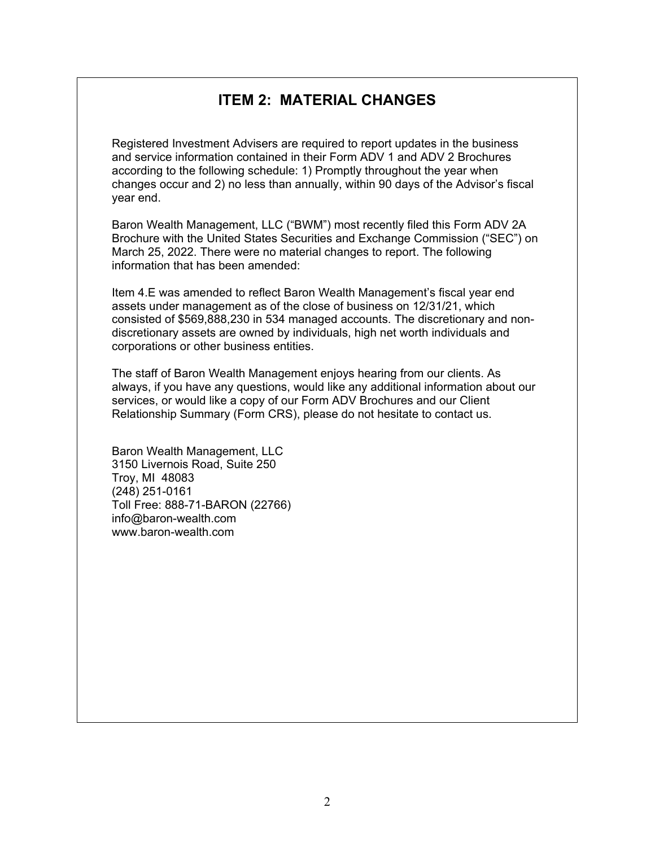### **ITEM 2: MATERIAL CHANGES**

Registered Investment Advisers are required to report updates in the business and service information contained in their Form ADV 1 and ADV 2 Brochures according to the following schedule: 1) Promptly throughout the year when changes occur and 2) no less than annually, within 90 days of the Advisor's fiscal year end.

Baron Wealth Management, LLC ("BWM") most recently filed this Form ADV 2A Brochure with the United States Securities and Exchange Commission ("SEC") on March 25, 2022. There were no material changes to report. The following information that has been amended:

Item 4.E was amended to reflect Baron Wealth Management's fiscal year end assets under management as of the close of business on 12/31/21, which consisted of \$569,888,230 in 534 managed accounts. The discretionary and nondiscretionary assets are owned by individuals, high net worth individuals and corporations or other business entities.

The staff of Baron Wealth Management enjoys hearing from our clients. As always, if you have any questions, would like any additional information about our services, or would like a copy of our Form ADV Brochures and our Client Relationship Summary (Form CRS), please do not hesitate to contact us.

Baron Wealth Management, LLC 3150 Livernois Road, Suite 250 Troy, MI 48083 (248) 251-0161 Toll Free: 888-71-BARON (22766) info@baron-wealth.com www.baron-wealth.com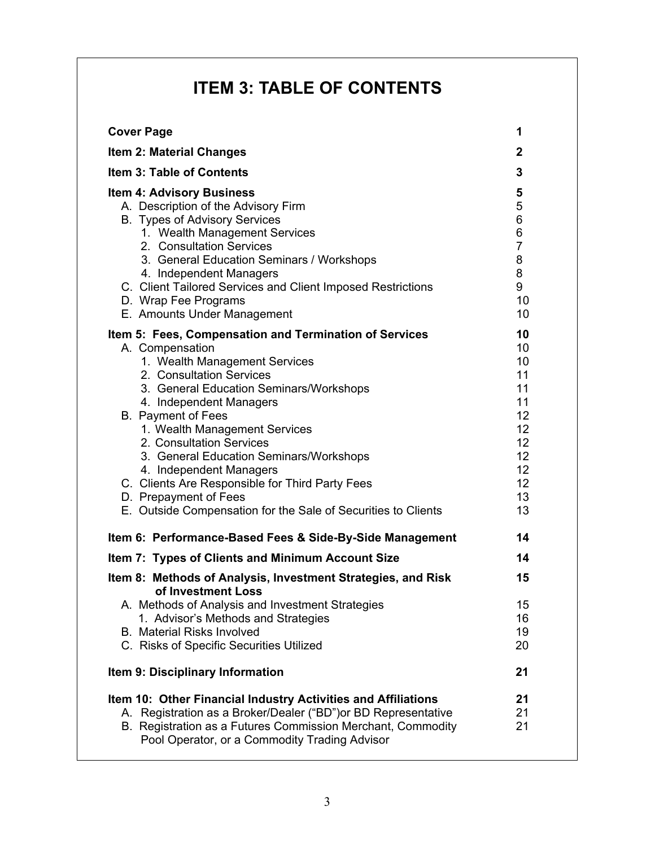# **ITEM 3: TABLE OF CONTENTS**

| <b>Cover Page</b>                                                                                                                                                                                                                                                                                                                                                                                                                                                                                                  | 1                                                                                |
|--------------------------------------------------------------------------------------------------------------------------------------------------------------------------------------------------------------------------------------------------------------------------------------------------------------------------------------------------------------------------------------------------------------------------------------------------------------------------------------------------------------------|----------------------------------------------------------------------------------|
| <b>Item 2: Material Changes</b>                                                                                                                                                                                                                                                                                                                                                                                                                                                                                    | $\mathbf{2}$                                                                     |
| <b>Item 3: Table of Contents</b>                                                                                                                                                                                                                                                                                                                                                                                                                                                                                   | 3                                                                                |
| Item 4: Advisory Business<br>A. Description of the Advisory Firm<br>B. Types of Advisory Services<br>1. Wealth Management Services<br>2. Consultation Services<br>3. General Education Seminars / Workshops<br>4. Independent Managers<br>C. Client Tailored Services and Client Imposed Restrictions<br>D. Wrap Fee Programs<br>E. Amounts Under Management                                                                                                                                                       | 5<br>5<br>6<br>6<br>$\overline{7}$<br>8<br>8<br>9<br>10<br>10                    |
| Item 5: Fees, Compensation and Termination of Services<br>A. Compensation<br>1. Wealth Management Services<br>2. Consultation Services<br>3. General Education Seminars/Workshops<br>4. Independent Managers<br>B. Payment of Fees<br>1. Wealth Management Services<br>2. Consultation Services<br>3. General Education Seminars/Workshops<br>4. Independent Managers<br>C. Clients Are Responsible for Third Party Fees<br>D. Prepayment of Fees<br>E. Outside Compensation for the Sale of Securities to Clients | 10<br>10<br>10<br>11<br>11<br>11<br>12<br>12<br>12<br>12<br>12<br>12<br>13<br>13 |
| Item 6: Performance-Based Fees & Side-By-Side Management                                                                                                                                                                                                                                                                                                                                                                                                                                                           | 14                                                                               |
| Item 7: Types of Clients and Minimum Account Size                                                                                                                                                                                                                                                                                                                                                                                                                                                                  | 14                                                                               |
| Item 8: Methods of Analysis, Investment Strategies, and Risk<br>of Investment Loss<br>A. Methods of Analysis and Investment Strategies<br>1. Advisor's Methods and Strategies<br><b>B.</b> Material Risks Involved<br>C. Risks of Specific Securities Utilized                                                                                                                                                                                                                                                     | 15<br>15<br>16<br>19<br>20                                                       |
| Item 9: Disciplinary Information                                                                                                                                                                                                                                                                                                                                                                                                                                                                                   | 21                                                                               |
| Item 10: Other Financial Industry Activities and Affiliations<br>A. Registration as a Broker/Dealer ("BD") or BD Representative<br>B. Registration as a Futures Commission Merchant, Commodity<br>Pool Operator, or a Commodity Trading Advisor                                                                                                                                                                                                                                                                    | 21<br>21<br>21                                                                   |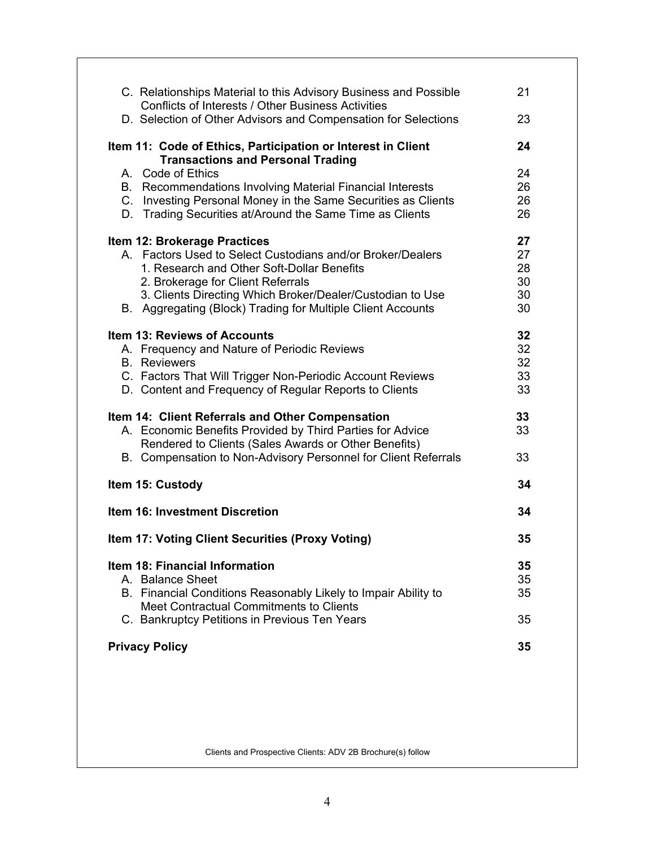| C. Relationships Material to this Advisory Business and Possible                                                     | 21 |
|----------------------------------------------------------------------------------------------------------------------|----|
| Conflicts of Interests / Other Business Activities<br>D. Selection of Other Advisors and Compensation for Selections | 23 |
|                                                                                                                      |    |
| Item 11: Code of Ethics, Participation or Interest in Client                                                         | 24 |
| <b>Transactions and Personal Trading</b>                                                                             |    |
| A. Code of Ethics                                                                                                    | 24 |
| B. Recommendations Involving Material Financial Interests                                                            | 26 |
| C. Investing Personal Money in the Same Securities as Clients                                                        | 26 |
| D. Trading Securities at/Around the Same Time as Clients                                                             | 26 |
| Item 12: Brokerage Practices                                                                                         | 27 |
| A. Factors Used to Select Custodians and/or Broker/Dealers                                                           | 27 |
| 1. Research and Other Soft-Dollar Benefits                                                                           | 28 |
| 2. Brokerage for Client Referrals                                                                                    | 30 |
| 3. Clients Directing Which Broker/Dealer/Custodian to Use                                                            | 30 |
| B. Aggregating (Block) Trading for Multiple Client Accounts                                                          | 30 |
| <b>Item 13: Reviews of Accounts</b>                                                                                  | 32 |
| A. Frequency and Nature of Periodic Reviews                                                                          | 32 |
| <b>B.</b> Reviewers                                                                                                  | 32 |
| C. Factors That Will Trigger Non-Periodic Account Reviews                                                            | 33 |
| D. Content and Frequency of Regular Reports to Clients                                                               | 33 |
|                                                                                                                      |    |
| Item 14: Client Referrals and Other Compensation                                                                     | 33 |
| A. Economic Benefits Provided by Third Parties for Advice                                                            | 33 |
| Rendered to Clients (Sales Awards or Other Benefits)                                                                 |    |
| B. Compensation to Non-Advisory Personnel for Client Referrals                                                       | 33 |
| Item 15: Custody                                                                                                     | 34 |
| <b>Item 16: Investment Discretion</b>                                                                                | 34 |
|                                                                                                                      |    |
| Item 17: Voting Client Securities (Proxy Voting)                                                                     | 35 |
| Item 18: Financial Information                                                                                       | 35 |
| A. Balance Sheet                                                                                                     | 35 |
| B. Financial Conditions Reasonably Likely to Impair Ability to                                                       | 35 |
| Meet Contractual Commitments to Clients                                                                              |    |
|                                                                                                                      | 35 |
| C. Bankruptcy Petitions in Previous Ten Years                                                                        |    |
| <b>Privacy Policy</b>                                                                                                | 35 |

Clients and Prospective Clients: ADV 2B Brochure(s) follow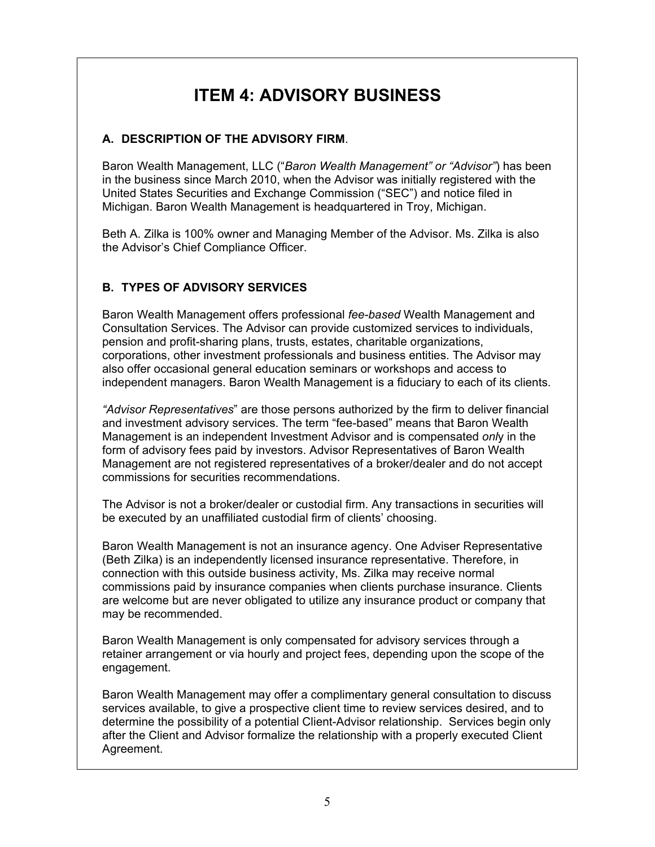### **ITEM 4: ADVISORY BUSINESS**

#### **A. DESCRIPTION OF THE ADVISORY FIRM**.

Baron Wealth Management, LLC ("*Baron Wealth Management" or "Advisor"*) has been in the business since March 2010, when the Advisor was initially registered with the United States Securities and Exchange Commission ("SEC") and notice filed in Michigan. Baron Wealth Management is headquartered in Troy, Michigan.

Beth A. Zilka is 100% owner and Managing Member of the Advisor. Ms. Zilka is also the Advisor's Chief Compliance Officer.

#### **B. TYPES OF ADVISORY SERVICES**

Baron Wealth Management offers professional *fee-based* Wealth Management and Consultation Services. The Advisor can provide customized services to individuals, pension and profit-sharing plans, trusts, estates, charitable organizations, corporations, other investment professionals and business entities. The Advisor may also offer occasional general education seminars or workshops and access to independent managers. Baron Wealth Management is a fiduciary to each of its clients.

*"Advisor Representatives*" are those persons authorized by the firm to deliver financial and investment advisory services. The term "fee-based" means that Baron Wealth Management is an independent Investment Advisor and is compensated *onl*y in the form of advisory fees paid by investors. Advisor Representatives of Baron Wealth Management are not registered representatives of a broker/dealer and do not accept commissions for securities recommendations.

The Advisor is not a broker/dealer or custodial firm. Any transactions in securities will be executed by an unaffiliated custodial firm of clients' choosing.

Baron Wealth Management is not an insurance agency. One Adviser Representative (Beth Zilka) is an independently licensed insurance representative. Therefore, in connection with this outside business activity, Ms. Zilka may receive normal commissions paid by insurance companies when clients purchase insurance. Clients are welcome but are never obligated to utilize any insurance product or company that may be recommended.

Baron Wealth Management is only compensated for advisory services through a retainer arrangement or via hourly and project fees, depending upon the scope of the engagement.

Baron Wealth Management may offer a complimentary general consultation to discuss services available, to give a prospective client time to review services desired, and to determine the possibility of a potential Client-Advisor relationship. Services begin only after the Client and Advisor formalize the relationship with a properly executed Client Agreement.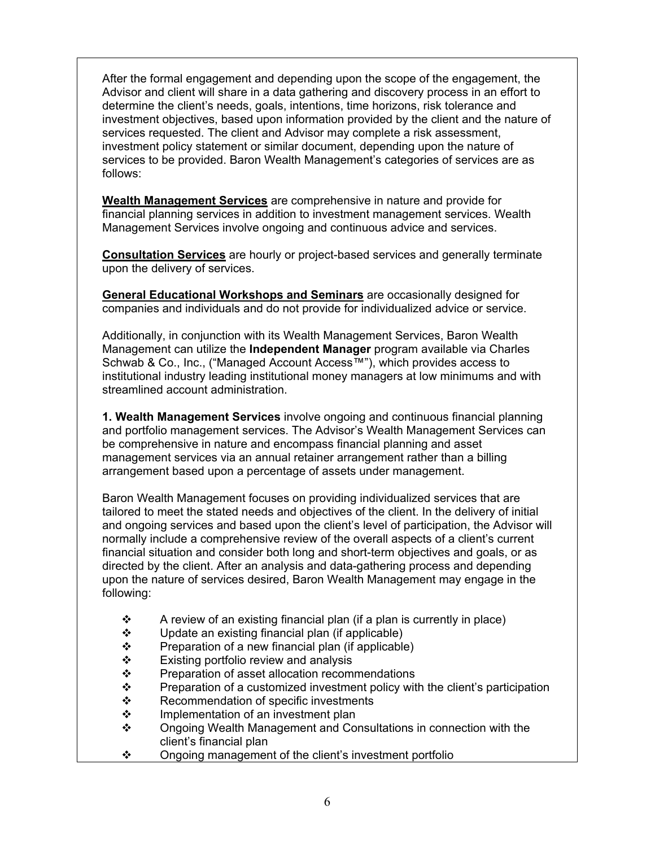After the formal engagement and depending upon the scope of the engagement, the Advisor and client will share in a data gathering and discovery process in an effort to determine the client's needs, goals, intentions, time horizons, risk tolerance and investment objectives, based upon information provided by the client and the nature of services requested. The client and Advisor may complete a risk assessment, investment policy statement or similar document, depending upon the nature of services to be provided. Baron Wealth Management's categories of services are as follows:

**Wealth Management Services** are comprehensive in nature and provide for financial planning services in addition to investment management services. Wealth Management Services involve ongoing and continuous advice and services.

**Consultation Services** are hourly or project-based services and generally terminate upon the delivery of services.

**General Educational Workshops and Seminars** are occasionally designed for companies and individuals and do not provide for individualized advice or service.

Additionally, in conjunction with its Wealth Management Services, Baron Wealth Management can utilize the **Independent Manager** program available via Charles Schwab & Co., Inc., ("Managed Account Access™"), which provides access to institutional industry leading institutional money managers at low minimums and with streamlined account administration.

**1. Wealth Management Services** involve ongoing and continuous financial planning and portfolio management services. The Advisor's Wealth Management Services can be comprehensive in nature and encompass financial planning and asset management services via an annual retainer arrangement rather than a billing arrangement based upon a percentage of assets under management.

Baron Wealth Management focuses on providing individualized services that are tailored to meet the stated needs and objectives of the client. In the delivery of initial and ongoing services and based upon the client's level of participation, the Advisor will normally include a comprehensive review of the overall aspects of a client's current financial situation and consider both long and short-term objectives and goals, or as directed by the client. After an analysis and data-gathering process and depending upon the nature of services desired, Baron Wealth Management may engage in the following:

- $\div$  A review of an existing financial plan (if a plan is currently in place)
- $\div$  Update an existing financial plan (if applicable)
- $\div$  Preparation of a new financial plan (if applicable)
- $\div$  Existing portfolio review and analysis
- Preparation of asset allocation recommendations
- $\cdot \cdot$  Preparation of a customized investment policy with the client's participation
- ❖ Recommendation of specific investments
- $\cdot \cdot$  Implementation of an investment plan
- $\div$  Ongoing Wealth Management and Consultations in connection with the client's financial plan
- $\div$  Ongoing management of the client's investment portfolio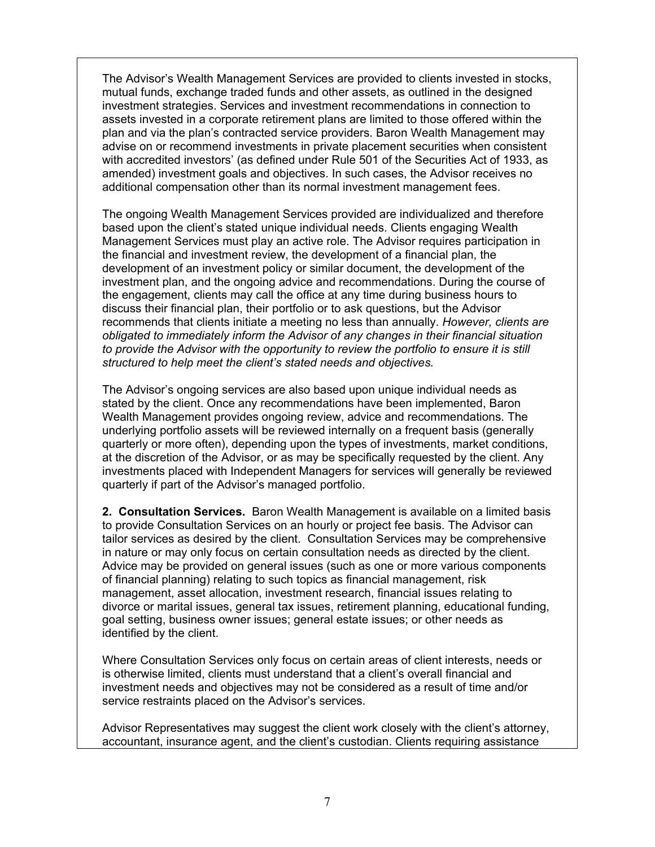The Advisor's Wealth Management Services are provided to clients invested in stocks, mutual funds, exchange traded funds and other assets, as outlined in the designed investment strategies. Services and investment recommendations in connection to assets invested in a corporate retirement plans are limited to those offered within the plan and via the plan's contracted service providers. Baron Wealth Management may advise on or recommend investments in private placement securities when consistent with accredited investors' (as defined under Rule 501 of the Securities Act of 1933, as amended) investment goals and objectives. In such cases, the Advisor receives no additional compensation other than its normal investment management fees.

The ongoing Wealth Management Services provided are individualized and therefore based upon the client's stated unique individual needs. Clients engaging Wealth Management Services must play an active role. The Advisor requires participation in the financial and investment review, the development of a financial plan, the development of an investment policy or similar document, the development of the investment plan, and the ongoing advice and recommendations. During the course of the engagement, clients may call the office at any time during business hours to discuss their financial plan, their portfolio or to ask questions, but the Advisor recommends that clients initiate a meeting no less than annually. *However, clients are obligated to immediately inform the Advisor of any changes in their financial situation*  to provide the Advisor with the opportunity to review the portfolio to ensure it is still *structured to help meet the client's stated needs and objectives.*

The Advisor's ongoing services are also based upon unique individual needs as stated by the client. Once any recommendations have been implemented, Baron Wealth Management provides ongoing review, advice and recommendations. The underlying portfolio assets will be reviewed internally on a frequent basis (generally quarterly or more often), depending upon the types of investments, market conditions, at the discretion of the Advisor, or as may be specifically requested by the client. Any investments placed with Independent Managers for services will generally be reviewed quarterly if part of the Advisor's managed portfolio.

**2. Consultation Services.** Baron Wealth Management is available on a limited basis to provide Consultation Services on an hourly or project fee basis. The Advisor can tailor services as desired by the client. Consultation Services may be comprehensive in nature or may only focus on certain consultation needs as directed by the client. Advice may be provided on general issues (such as one or more various components of financial planning) relating to such topics as financial management, risk management, asset allocation, investment research, financial issues relating to divorce or marital issues, general tax issues, retirement planning, educational funding, goal setting, business owner issues; general estate issues; or other needs as identified by the client.

Where Consultation Services only focus on certain areas of client interests, needs or is otherwise limited, clients must understand that a client's overall financial and investment needs and objectives may not be considered as a result of time and/or service restraints placed on the Advisor's services.

Advisor Representatives may suggest the client work closely with the client's attorney, accountant, insurance agent, and the client's custodian. Clients requiring assistance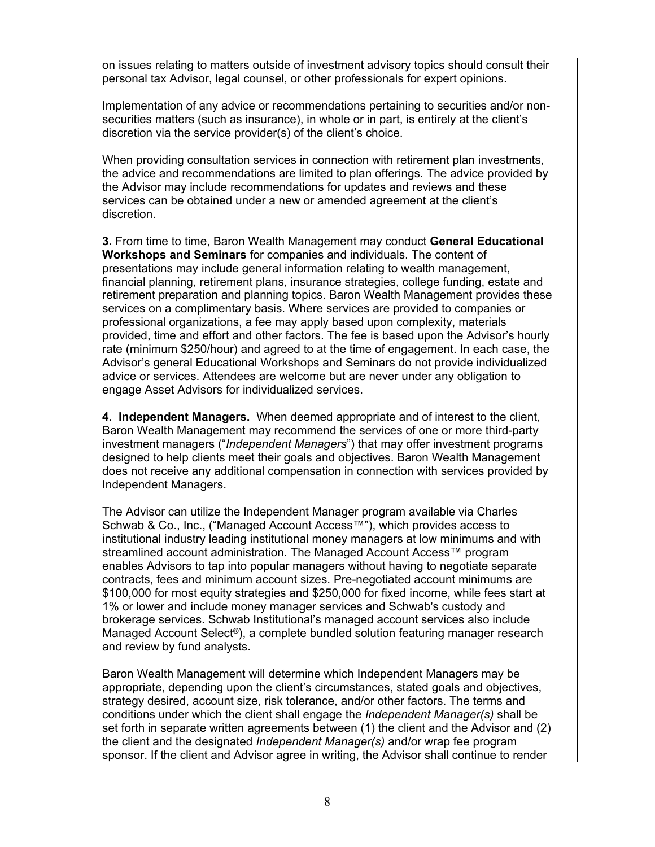on issues relating to matters outside of investment advisory topics should consult their personal tax Advisor, legal counsel, or other professionals for expert opinions.

Implementation of any advice or recommendations pertaining to securities and/or nonsecurities matters (such as insurance), in whole or in part, is entirely at the client's discretion via the service provider(s) of the client's choice.

When providing consultation services in connection with retirement plan investments, the advice and recommendations are limited to plan offerings. The advice provided by the Advisor may include recommendations for updates and reviews and these services can be obtained under a new or amended agreement at the client's discretion.

**3.** From time to time, Baron Wealth Management may conduct **General Educational Workshops and Seminars** for companies and individuals. The content of presentations may include general information relating to wealth management, financial planning, retirement plans, insurance strategies, college funding, estate and retirement preparation and planning topics. Baron Wealth Management provides these services on a complimentary basis. Where services are provided to companies or professional organizations, a fee may apply based upon complexity, materials provided, time and effort and other factors. The fee is based upon the Advisor's hourly rate (minimum \$250/hour) and agreed to at the time of engagement. In each case, the Advisor's general Educational Workshops and Seminars do not provide individualized advice or services. Attendees are welcome but are never under any obligation to engage Asset Advisors for individualized services.

**4. Independent Managers.** When deemed appropriate and of interest to the client, Baron Wealth Management may recommend the services of one or more third-party investment managers ("*Independent Managers*") that may offer investment programs designed to help clients meet their goals and objectives. Baron Wealth Management does not receive any additional compensation in connection with services provided by Independent Managers.

The Advisor can utilize the Independent Manager program available via Charles Schwab & Co., Inc., ("Managed Account Access™"), which provides access to institutional industry leading institutional money managers at low minimums and with streamlined account administration. The Managed Account Access™ program enables Advisors to tap into popular managers without having to negotiate separate contracts, fees and minimum account sizes. Pre-negotiated account minimums are \$100,000 for most equity strategies and \$250,000 for fixed income, while fees start at 1% or lower and include money manager services and Schwab's custody and brokerage services. Schwab Institutional's managed account services also include Managed Account Select®), a complete bundled solution featuring manager research and review by fund analysts.

Baron Wealth Management will determine which Independent Managers may be appropriate, depending upon the client's circumstances, stated goals and objectives, strategy desired, account size, risk tolerance, and/or other factors. The terms and conditions under which the client shall engage the *Independent Manager(s)* shall be set forth in separate written agreements between (1) the client and the Advisor and (2) the client and the designated *Independent Manager(s)* and/or wrap fee program sponsor. If the client and Advisor agree in writing, the Advisor shall continue to render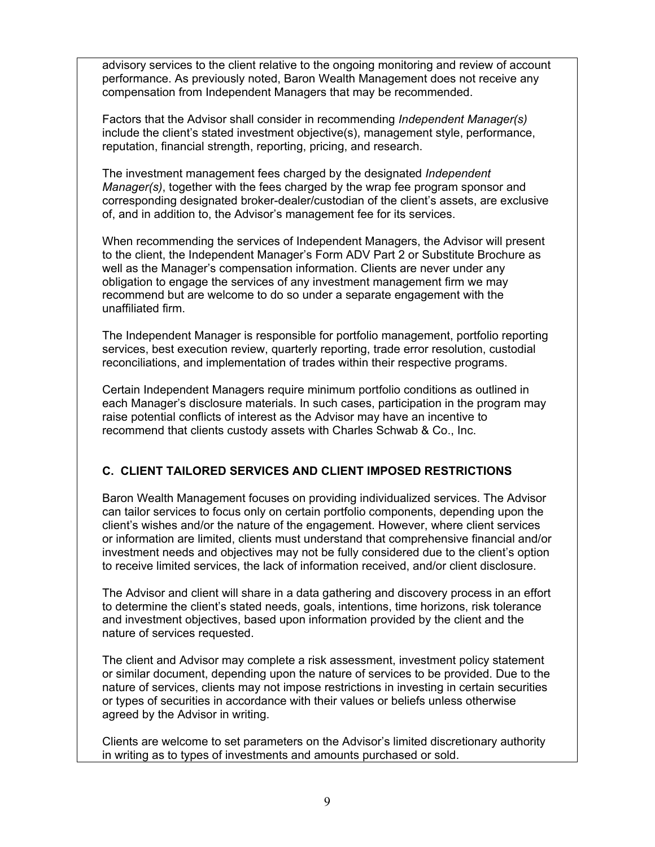advisory services to the client relative to the ongoing monitoring and review of account performance. As previously noted, Baron Wealth Management does not receive any compensation from Independent Managers that may be recommended.

Factors that the Advisor shall consider in recommending *Independent Manager(s)*  include the client's stated investment objective(s), management style, performance, reputation, financial strength, reporting, pricing, and research.

The investment management fees charged by the designated *Independent Manager(s)*, together with the fees charged by the wrap fee program sponsor and corresponding designated broker-dealer/custodian of the client's assets, are exclusive of, and in addition to, the Advisor's management fee for its services.

When recommending the services of Independent Managers, the Advisor will present to the client, the Independent Manager's Form ADV Part 2 or Substitute Brochure as well as the Manager's compensation information. Clients are never under any obligation to engage the services of any investment management firm we may recommend but are welcome to do so under a separate engagement with the unaffiliated firm.

The Independent Manager is responsible for portfolio management, portfolio reporting services, best execution review, quarterly reporting, trade error resolution, custodial reconciliations, and implementation of trades within their respective programs.

Certain Independent Managers require minimum portfolio conditions as outlined in each Manager's disclosure materials. In such cases, participation in the program may raise potential conflicts of interest as the Advisor may have an incentive to recommend that clients custody assets with Charles Schwab & Co., Inc.

#### **C. CLIENT TAILORED SERVICES AND CLIENT IMPOSED RESTRICTIONS**

Baron Wealth Management focuses on providing individualized services. The Advisor can tailor services to focus only on certain portfolio components, depending upon the client's wishes and/or the nature of the engagement. However, where client services or information are limited, clients must understand that comprehensive financial and/or investment needs and objectives may not be fully considered due to the client's option to receive limited services, the lack of information received, and/or client disclosure.

The Advisor and client will share in a data gathering and discovery process in an effort to determine the client's stated needs, goals, intentions, time horizons, risk tolerance and investment objectives, based upon information provided by the client and the nature of services requested.

The client and Advisor may complete a risk assessment, investment policy statement or similar document, depending upon the nature of services to be provided. Due to the nature of services, clients may not impose restrictions in investing in certain securities or types of securities in accordance with their values or beliefs unless otherwise agreed by the Advisor in writing.

Clients are welcome to set parameters on the Advisor's limited discretionary authority in writing as to types of investments and amounts purchased or sold.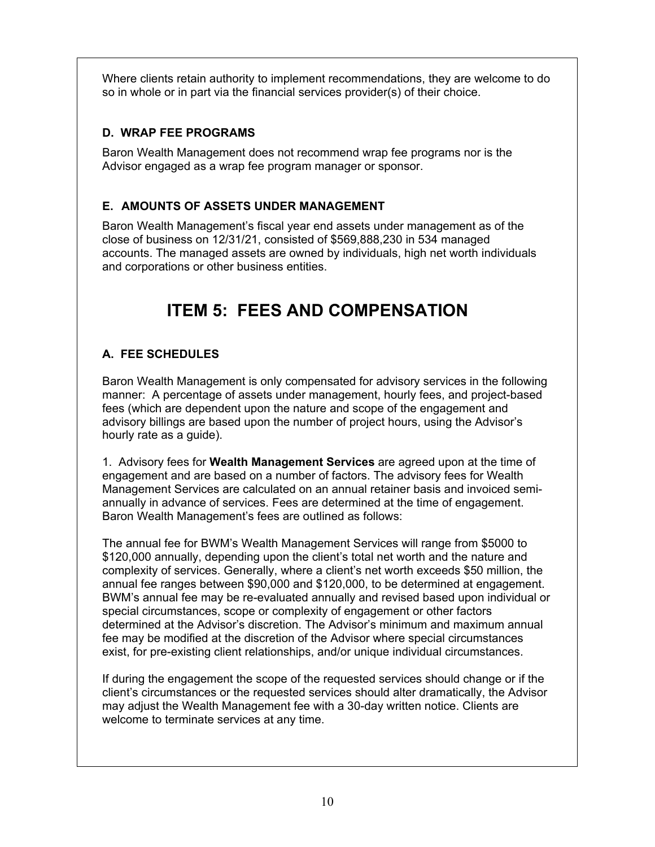Where clients retain authority to implement recommendations, they are welcome to do so in whole or in part via the financial services provider(s) of their choice.

#### **D. WRAP FEE PROGRAMS**

Baron Wealth Management does not recommend wrap fee programs nor is the Advisor engaged as a wrap fee program manager or sponsor.

#### **E. AMOUNTS OF ASSETS UNDER MANAGEMENT**

Baron Wealth Management's fiscal year end assets under management as of the close of business on 12/31/21, consisted of \$569,888,230 in 534 managed accounts. The managed assets are owned by individuals, high net worth individuals and corporations or other business entities.

## **ITEM 5: FEES AND COMPENSATION**

#### **A. FEE SCHEDULES**

Baron Wealth Management is only compensated for advisory services in the following manner: A percentage of assets under management, hourly fees, and project-based fees (which are dependent upon the nature and scope of the engagement and advisory billings are based upon the number of project hours, using the Advisor's hourly rate as a guide).

1. Advisory fees for **Wealth Management Services** are agreed upon at the time of engagement and are based on a number of factors. The advisory fees for Wealth Management Services are calculated on an annual retainer basis and invoiced semiannually in advance of services. Fees are determined at the time of engagement. Baron Wealth Management's fees are outlined as follows:

The annual fee for BWM's Wealth Management Services will range from \$5000 to \$120,000 annually, depending upon the client's total net worth and the nature and complexity of services. Generally, where a client's net worth exceeds \$50 million, the annual fee ranges between \$90,000 and \$120,000, to be determined at engagement. BWM's annual fee may be re-evaluated annually and revised based upon individual or special circumstances, scope or complexity of engagement or other factors determined at the Advisor's discretion. The Advisor's minimum and maximum annual fee may be modified at the discretion of the Advisor where special circumstances exist, for pre-existing client relationships, and/or unique individual circumstances.

If during the engagement the scope of the requested services should change or if the client's circumstances or the requested services should alter dramatically, the Advisor may adjust the Wealth Management fee with a 30-day written notice. Clients are welcome to terminate services at any time.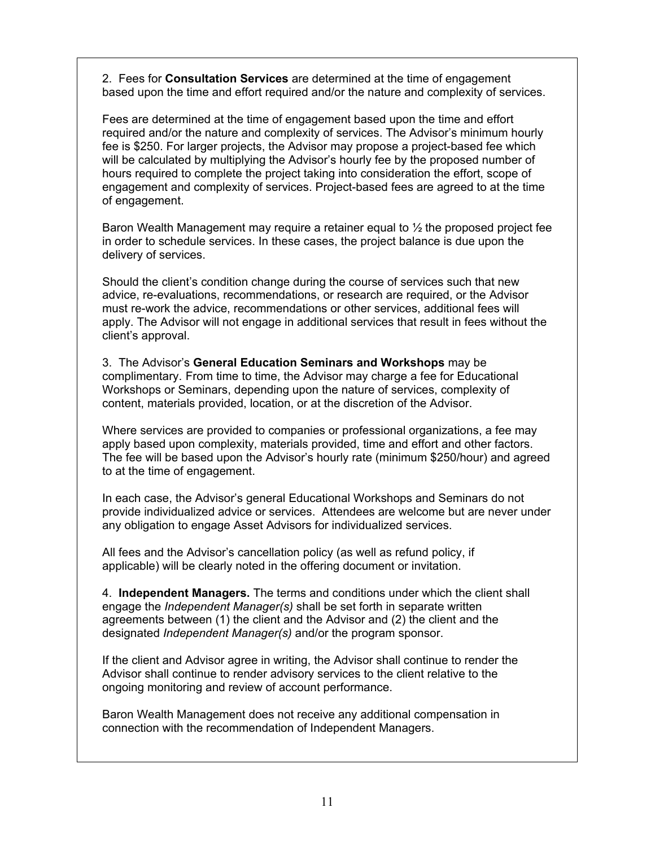2. Fees for **Consultation Services** are determined at the time of engagement based upon the time and effort required and/or the nature and complexity of services.

Fees are determined at the time of engagement based upon the time and effort required and/or the nature and complexity of services. The Advisor's minimum hourly fee is \$250. For larger projects, the Advisor may propose a project-based fee which will be calculated by multiplying the Advisor's hourly fee by the proposed number of hours required to complete the project taking into consideration the effort, scope of engagement and complexity of services. Project-based fees are agreed to at the time of engagement.

Baron Wealth Management may require a retainer equal to  $\frac{1}{2}$  the proposed project fee in order to schedule services. In these cases, the project balance is due upon the delivery of services.

Should the client's condition change during the course of services such that new advice, re-evaluations, recommendations, or research are required, or the Advisor must re-work the advice, recommendations or other services, additional fees will apply. The Advisor will not engage in additional services that result in fees without the client's approval.

3. The Advisor's **General Education Seminars and Workshops** may be complimentary. From time to time, the Advisor may charge a fee for Educational Workshops or Seminars, depending upon the nature of services, complexity of content, materials provided, location, or at the discretion of the Advisor.

Where services are provided to companies or professional organizations, a fee may apply based upon complexity, materials provided, time and effort and other factors. The fee will be based upon the Advisor's hourly rate (minimum \$250/hour) and agreed to at the time of engagement.

In each case, the Advisor's general Educational Workshops and Seminars do not provide individualized advice or services. Attendees are welcome but are never under any obligation to engage Asset Advisors for individualized services.

All fees and the Advisor's cancellation policy (as well as refund policy, if applicable) will be clearly noted in the offering document or invitation.

4. **Independent Managers.** The terms and conditions under which the client shall engage the *Independent Manager(s)* shall be set forth in separate written agreements between (1) the client and the Advisor and (2) the client and the designated *Independent Manager(s)* and/or the program sponsor.

If the client and Advisor agree in writing, the Advisor shall continue to render the Advisor shall continue to render advisory services to the client relative to the ongoing monitoring and review of account performance.

Baron Wealth Management does not receive any additional compensation in connection with the recommendation of Independent Managers.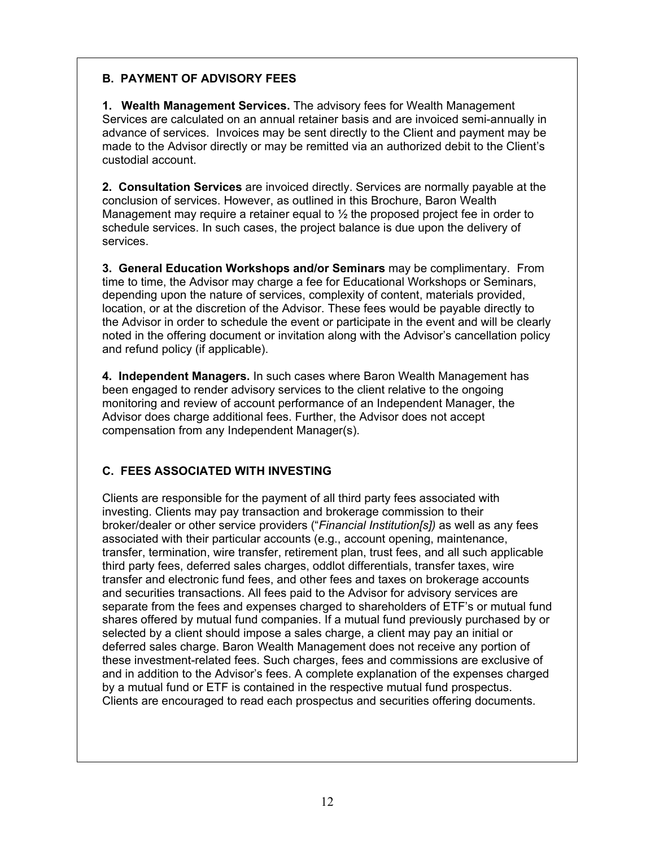#### **B. PAYMENT OF ADVISORY FEES**

**1. Wealth Management Services.** The advisory fees for Wealth Management Services are calculated on an annual retainer basis and are invoiced semi-annually in advance of services. Invoices may be sent directly to the Client and payment may be made to the Advisor directly or may be remitted via an authorized debit to the Client's custodial account.

**2. Consultation Services** are invoiced directly. Services are normally payable at the conclusion of services. However, as outlined in this Brochure, Baron Wealth Management may require a retainer equal to  $\frac{1}{2}$  the proposed project fee in order to schedule services. In such cases, the project balance is due upon the delivery of services.

**3. General Education Workshops and/or Seminars** may be complimentary. From time to time, the Advisor may charge a fee for Educational Workshops or Seminars, depending upon the nature of services, complexity of content, materials provided, location, or at the discretion of the Advisor. These fees would be payable directly to the Advisor in order to schedule the event or participate in the event and will be clearly noted in the offering document or invitation along with the Advisor's cancellation policy and refund policy (if applicable).

**4. Independent Managers.** In such cases where Baron Wealth Management has been engaged to render advisory services to the client relative to the ongoing monitoring and review of account performance of an Independent Manager, the Advisor does charge additional fees. Further, the Advisor does not accept compensation from any Independent Manager(s).

#### **C. FEES ASSOCIATED WITH INVESTING**

Clients are responsible for the payment of all third party fees associated with investing. Clients may pay transaction and brokerage commission to their broker/dealer or other service providers ("*Financial Institution[s])* as well as any fees associated with their particular accounts (e.g., account opening, maintenance, transfer, termination, wire transfer, retirement plan, trust fees, and all such applicable third party fees, deferred sales charges, oddlot differentials, transfer taxes, wire transfer and electronic fund fees, and other fees and taxes on brokerage accounts and securities transactions. All fees paid to the Advisor for advisory services are separate from the fees and expenses charged to shareholders of ETF's or mutual fund shares offered by mutual fund companies. If a mutual fund previously purchased by or selected by a client should impose a sales charge, a client may pay an initial or deferred sales charge. Baron Wealth Management does not receive any portion of these investment-related fees. Such charges, fees and commissions are exclusive of and in addition to the Advisor's fees. A complete explanation of the expenses charged by a mutual fund or ETF is contained in the respective mutual fund prospectus. Clients are encouraged to read each prospectus and securities offering documents.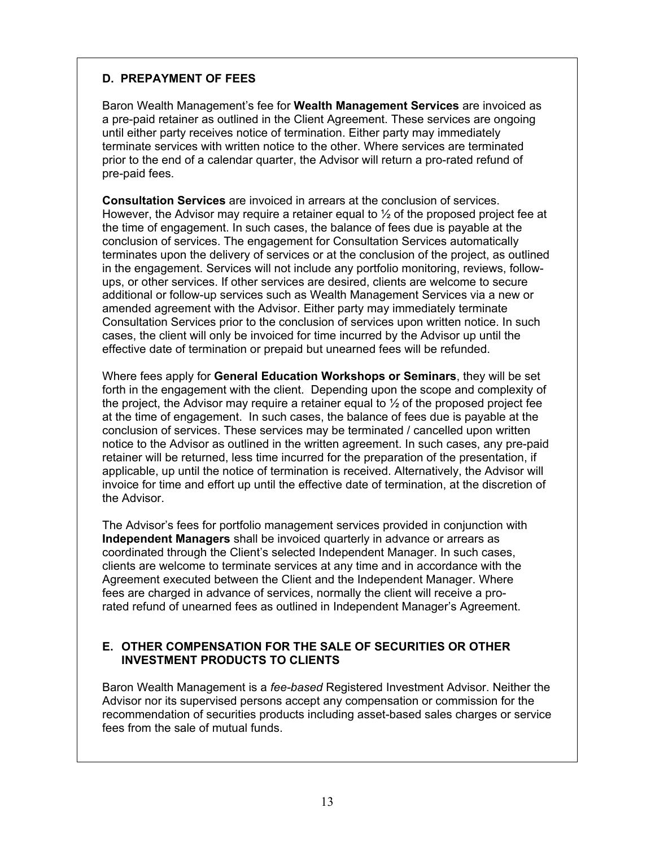#### **D. PREPAYMENT OF FEES**

Baron Wealth Management's fee for **Wealth Management Services** are invoiced as a pre-paid retainer as outlined in the Client Agreement. These services are ongoing until either party receives notice of termination. Either party may immediately terminate services with written notice to the other. Where services are terminated prior to the end of a calendar quarter, the Advisor will return a pro-rated refund of pre-paid fees.

**Consultation Services** are invoiced in arrears at the conclusion of services. However, the Advisor may require a retainer equal to  $\frac{1}{2}$  of the proposed project fee at the time of engagement. In such cases, the balance of fees due is payable at the conclusion of services. The engagement for Consultation Services automatically terminates upon the delivery of services or at the conclusion of the project, as outlined in the engagement. Services will not include any portfolio monitoring, reviews, followups, or other services. If other services are desired, clients are welcome to secure additional or follow-up services such as Wealth Management Services via a new or amended agreement with the Advisor. Either party may immediately terminate Consultation Services prior to the conclusion of services upon written notice. In such cases, the client will only be invoiced for time incurred by the Advisor up until the effective date of termination or prepaid but unearned fees will be refunded.

Where fees apply for **General Education Workshops or Seminars**, they will be set forth in the engagement with the client. Depending upon the scope and complexity of the project, the Advisor may require a retainer equal to  $\frac{1}{2}$  of the proposed project fee at the time of engagement. In such cases, the balance of fees due is payable at the conclusion of services. These services may be terminated / cancelled upon written notice to the Advisor as outlined in the written agreement. In such cases, any pre-paid retainer will be returned, less time incurred for the preparation of the presentation, if applicable, up until the notice of termination is received. Alternatively, the Advisor will invoice for time and effort up until the effective date of termination, at the discretion of the Advisor.

The Advisor's fees for portfolio management services provided in conjunction with **Independent Managers** shall be invoiced quarterly in advance or arrears as coordinated through the Client's selected Independent Manager. In such cases, clients are welcome to terminate services at any time and in accordance with the Agreement executed between the Client and the Independent Manager. Where fees are charged in advance of services, normally the client will receive a prorated refund of unearned fees as outlined in Independent Manager's Agreement.

#### **E. OTHER COMPENSATION FOR THE SALE OF SECURITIES OR OTHER INVESTMENT PRODUCTS TO CLIENTS**

Baron Wealth Management is a *fee-based* Registered Investment Advisor. Neither the Advisor nor its supervised persons accept any compensation or commission for the recommendation of securities products including asset-based sales charges or service fees from the sale of mutual funds.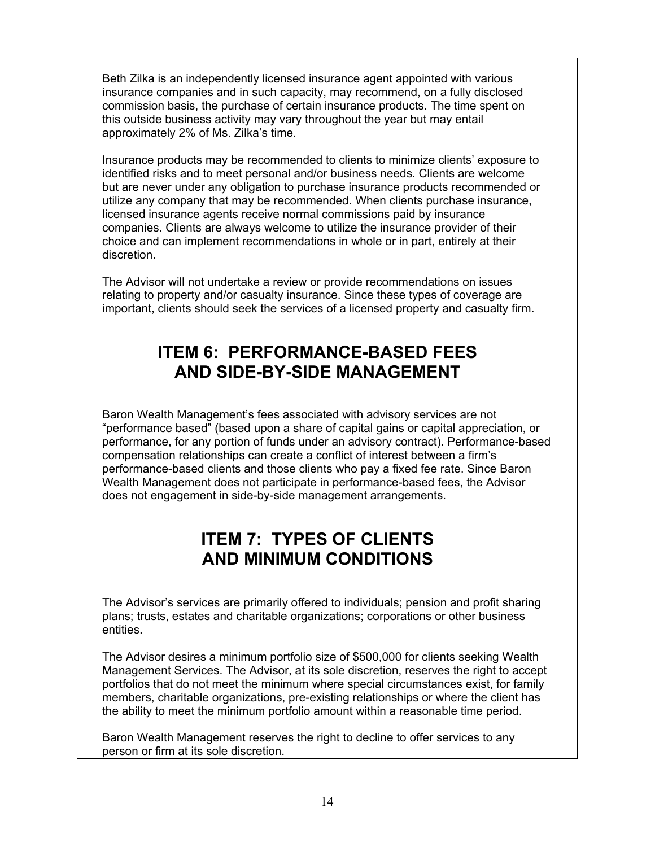Beth Zilka is an independently licensed insurance agent appointed with various insurance companies and in such capacity, may recommend, on a fully disclosed commission basis, the purchase of certain insurance products. The time spent on this outside business activity may vary throughout the year but may entail approximately 2% of Ms. Zilka's time.

Insurance products may be recommended to clients to minimize clients' exposure to identified risks and to meet personal and/or business needs. Clients are welcome but are never under any obligation to purchase insurance products recommended or utilize any company that may be recommended. When clients purchase insurance, licensed insurance agents receive normal commissions paid by insurance companies. Clients are always welcome to utilize the insurance provider of their choice and can implement recommendations in whole or in part, entirely at their discretion.

The Advisor will not undertake a review or provide recommendations on issues relating to property and/or casualty insurance. Since these types of coverage are important, clients should seek the services of a licensed property and casualty firm.

### **ITEM 6: PERFORMANCE-BASED FEES AND SIDE-BY-SIDE MANAGEMENT**

Baron Wealth Management's fees associated with advisory services are not "performance based" (based upon a share of capital gains or capital appreciation, or performance, for any portion of funds under an advisory contract). Performance-based compensation relationships can create a conflict of interest between a firm's performance-based clients and those clients who pay a fixed fee rate. Since Baron Wealth Management does not participate in performance-based fees, the Advisor does not engagement in side-by-side management arrangements.

### **ITEM 7: TYPES OF CLIENTS AND MINIMUM CONDITIONS**

The Advisor's services are primarily offered to individuals; pension and profit sharing plans; trusts, estates and charitable organizations; corporations or other business entities.

The Advisor desires a minimum portfolio size of \$500,000 for clients seeking Wealth Management Services. The Advisor, at its sole discretion, reserves the right to accept portfolios that do not meet the minimum where special circumstances exist, for family members, charitable organizations, pre-existing relationships or where the client has the ability to meet the minimum portfolio amount within a reasonable time period.

Baron Wealth Management reserves the right to decline to offer services to any person or firm at its sole discretion.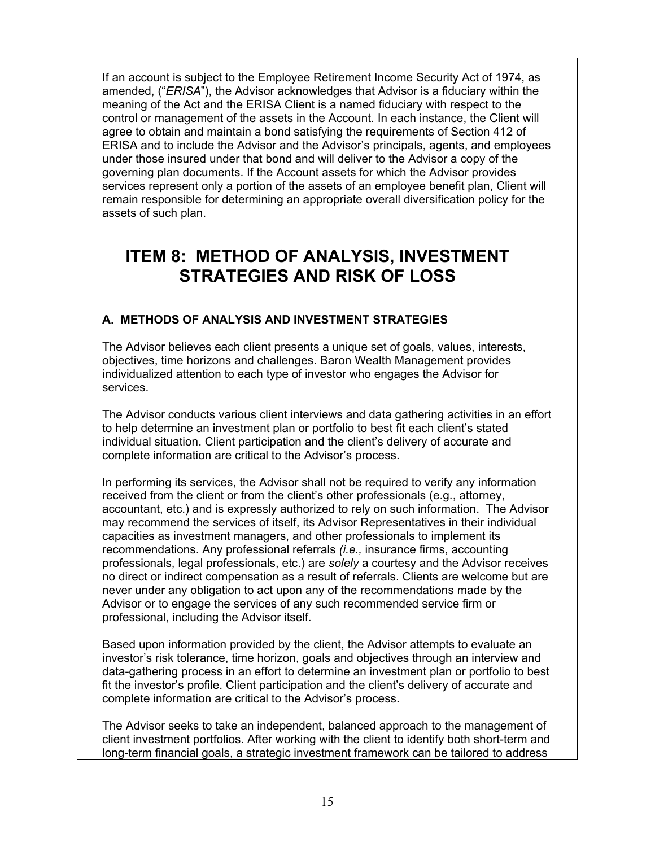If an account is subject to the Employee Retirement Income Security Act of 1974, as amended, ("*ERISA*"), the Advisor acknowledges that Advisor is a fiduciary within the meaning of the Act and the ERISA Client is a named fiduciary with respect to the control or management of the assets in the Account. In each instance, the Client will agree to obtain and maintain a bond satisfying the requirements of Section 412 of ERISA and to include the Advisor and the Advisor's principals, agents, and employees under those insured under that bond and will deliver to the Advisor a copy of the governing plan documents. If the Account assets for which the Advisor provides services represent only a portion of the assets of an employee benefit plan, Client will remain responsible for determining an appropriate overall diversification policy for the assets of such plan.

### **ITEM 8: METHOD OF ANALYSIS, INVESTMENT STRATEGIES AND RISK OF LOSS**

#### **A. METHODS OF ANALYSIS AND INVESTMENT STRATEGIES**

The Advisor believes each client presents a unique set of goals, values, interests, objectives, time horizons and challenges. Baron Wealth Management provides individualized attention to each type of investor who engages the Advisor for services.

The Advisor conducts various client interviews and data gathering activities in an effort to help determine an investment plan or portfolio to best fit each client's stated individual situation. Client participation and the client's delivery of accurate and complete information are critical to the Advisor's process.

In performing its services, the Advisor shall not be required to verify any information received from the client or from the client's other professionals (e.g., attorney, accountant, etc.) and is expressly authorized to rely on such information. The Advisor may recommend the services of itself, its Advisor Representatives in their individual capacities as investment managers, and other professionals to implement its recommendations. Any professional referrals *(i.e.,* insurance firms, accounting professionals, legal professionals, etc.) are *solely* a courtesy and the Advisor receives no direct or indirect compensation as a result of referrals. Clients are welcome but are never under any obligation to act upon any of the recommendations made by the Advisor or to engage the services of any such recommended service firm or professional, including the Advisor itself.

Based upon information provided by the client, the Advisor attempts to evaluate an investor's risk tolerance, time horizon, goals and objectives through an interview and data-gathering process in an effort to determine an investment plan or portfolio to best fit the investor's profile. Client participation and the client's delivery of accurate and complete information are critical to the Advisor's process.

The Advisor seeks to take an independent, balanced approach to the management of client investment portfolios. After working with the client to identify both short-term and long-term financial goals, a strategic investment framework can be tailored to address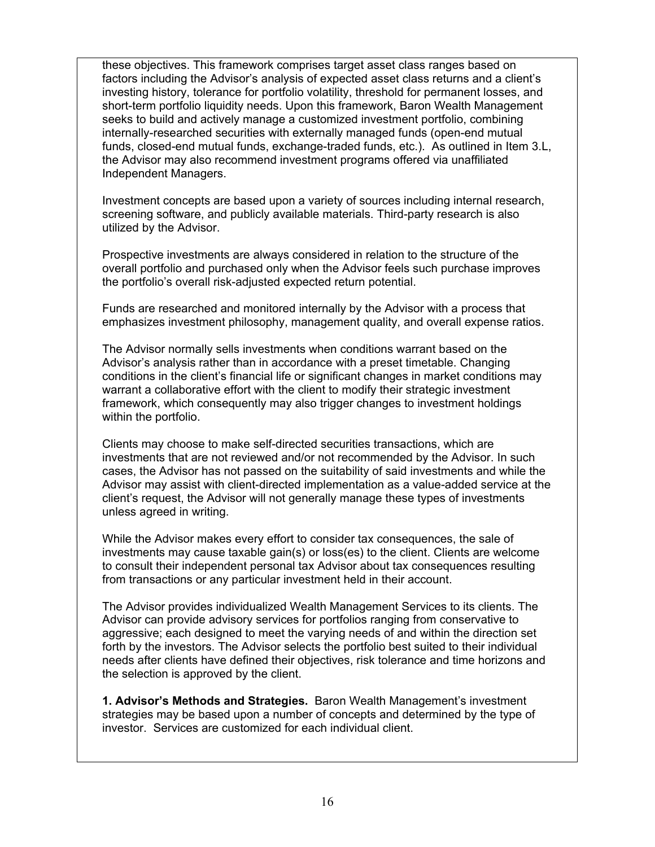these objectives. This framework comprises target asset class ranges based on factors including the Advisor's analysis of expected asset class returns and a client's investing history, tolerance for portfolio volatility, threshold for permanent losses, and short-term portfolio liquidity needs. Upon this framework, Baron Wealth Management seeks to build and actively manage a customized investment portfolio, combining internally-researched securities with externally managed funds (open-end mutual funds, closed-end mutual funds, exchange-traded funds, etc.). As outlined in Item 3.L, the Advisor may also recommend investment programs offered via unaffiliated Independent Managers.

Investment concepts are based upon a variety of sources including internal research, screening software, and publicly available materials. Third-party research is also utilized by the Advisor.

Prospective investments are always considered in relation to the structure of the overall portfolio and purchased only when the Advisor feels such purchase improves the portfolio's overall risk-adjusted expected return potential.

Funds are researched and monitored internally by the Advisor with a process that emphasizes investment philosophy, management quality, and overall expense ratios.

The Advisor normally sells investments when conditions warrant based on the Advisor's analysis rather than in accordance with a preset timetable. Changing conditions in the client's financial life or significant changes in market conditions may warrant a collaborative effort with the client to modify their strategic investment framework, which consequently may also trigger changes to investment holdings within the portfolio.

Clients may choose to make self-directed securities transactions, which are investments that are not reviewed and/or not recommended by the Advisor. In such cases, the Advisor has not passed on the suitability of said investments and while the Advisor may assist with client-directed implementation as a value-added service at the client's request, the Advisor will not generally manage these types of investments unless agreed in writing.

While the Advisor makes every effort to consider tax consequences, the sale of investments may cause taxable gain(s) or loss(es) to the client. Clients are welcome to consult their independent personal tax Advisor about tax consequences resulting from transactions or any particular investment held in their account.

The Advisor provides individualized Wealth Management Services to its clients. The Advisor can provide advisory services for portfolios ranging from conservative to aggressive; each designed to meet the varying needs of and within the direction set forth by the investors. The Advisor selects the portfolio best suited to their individual needs after clients have defined their objectives, risk tolerance and time horizons and the selection is approved by the client.

**1. Advisor's Methods and Strategies.** Baron Wealth Management's investment strategies may be based upon a number of concepts and determined by the type of investor. Services are customized for each individual client.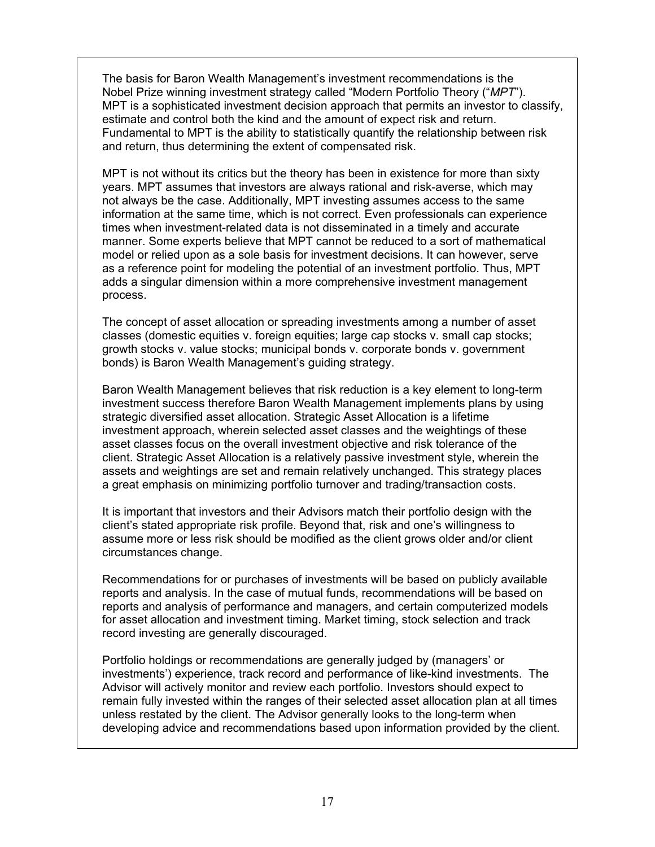The basis for Baron Wealth Management's investment recommendations is the Nobel Prize winning investment strategy called "Modern Portfolio Theory ("*MPT*"). MPT is a sophisticated investment decision approach that permits an investor to classify, estimate and control both the kind and the amount of expect risk and return. Fundamental to MPT is the ability to statistically quantify the relationship between risk and return, thus determining the extent of compensated risk.

MPT is not without its critics but the theory has been in existence for more than sixty years. MPT assumes that investors are always rational and risk-averse, which may not always be the case. Additionally, MPT investing assumes access to the same information at the same time, which is not correct. Even professionals can experience times when investment-related data is not disseminated in a timely and accurate manner. Some experts believe that MPT cannot be reduced to a sort of mathematical model or relied upon as a sole basis for investment decisions. It can however, serve as a reference point for modeling the potential of an investment portfolio. Thus, MPT adds a singular dimension within a more comprehensive investment management process.

The concept of asset allocation or spreading investments among a number of asset classes (domestic equities v. foreign equities; large cap stocks v. small cap stocks; growth stocks v. value stocks; municipal bonds v. corporate bonds v. government bonds) is Baron Wealth Management's guiding strategy.

Baron Wealth Management believes that risk reduction is a key element to long-term investment success therefore Baron Wealth Management implements plans by using strategic diversified asset allocation. Strategic Asset Allocation is a lifetime investment approach, wherein selected asset classes and the weightings of these asset classes focus on the overall investment objective and risk tolerance of the client. Strategic Asset Allocation is a relatively passive investment style, wherein the assets and weightings are set and remain relatively unchanged. This strategy places a great emphasis on minimizing portfolio turnover and trading/transaction costs.

It is important that investors and their Advisors match their portfolio design with the client's stated appropriate risk profile. Beyond that, risk and one's willingness to assume more or less risk should be modified as the client grows older and/or client circumstances change.

Recommendations for or purchases of investments will be based on publicly available reports and analysis. In the case of mutual funds, recommendations will be based on reports and analysis of performance and managers, and certain computerized models for asset allocation and investment timing. Market timing, stock selection and track record investing are generally discouraged.

Portfolio holdings or recommendations are generally judged by (managers' or investments') experience, track record and performance of like-kind investments. The Advisor will actively monitor and review each portfolio. Investors should expect to remain fully invested within the ranges of their selected asset allocation plan at all times unless restated by the client. The Advisor generally looks to the long-term when developing advice and recommendations based upon information provided by the client.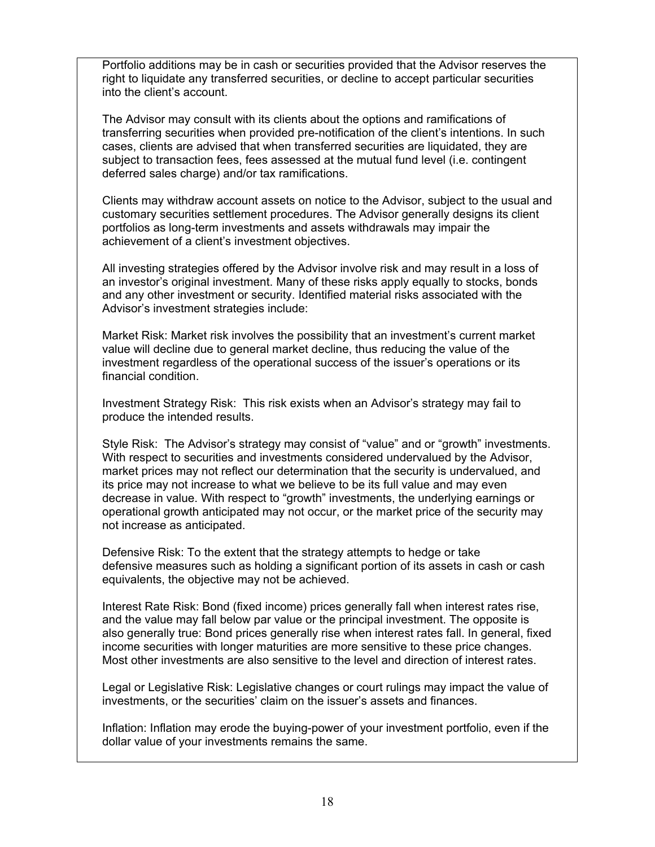Portfolio additions may be in cash or securities provided that the Advisor reserves the right to liquidate any transferred securities, or decline to accept particular securities into the client's account.

The Advisor may consult with its clients about the options and ramifications of transferring securities when provided pre-notification of the client's intentions. In such cases, clients are advised that when transferred securities are liquidated, they are subject to transaction fees, fees assessed at the mutual fund level (i.e. contingent deferred sales charge) and/or tax ramifications.

Clients may withdraw account assets on notice to the Advisor, subject to the usual and customary securities settlement procedures. The Advisor generally designs its client portfolios as long-term investments and assets withdrawals may impair the achievement of a client's investment objectives.

All investing strategies offered by the Advisor involve risk and may result in a loss of an investor's original investment. Many of these risks apply equally to stocks, bonds and any other investment or security. Identified material risks associated with the Advisor's investment strategies include:

Market Risk: Market risk involves the possibility that an investment's current market value will decline due to general market decline, thus reducing the value of the investment regardless of the operational success of the issuer's operations or its financial condition.

Investment Strategy Risk: This risk exists when an Advisor's strategy may fail to produce the intended results.

Style Risk: The Advisor's strategy may consist of "value" and or "growth" investments. With respect to securities and investments considered undervalued by the Advisor, market prices may not reflect our determination that the security is undervalued, and its price may not increase to what we believe to be its full value and may even decrease in value. With respect to "growth" investments, the underlying earnings or operational growth anticipated may not occur, or the market price of the security may not increase as anticipated.

Defensive Risk: To the extent that the strategy attempts to hedge or take defensive measures such as holding a significant portion of its assets in cash or cash equivalents, the objective may not be achieved.

Interest Rate Risk: Bond (fixed income) prices generally fall when interest rates rise, and the value may fall below par value or the principal investment. The opposite is also generally true: Bond prices generally rise when interest rates fall. In general, fixed income securities with longer maturities are more sensitive to these price changes. Most other investments are also sensitive to the level and direction of interest rates.

Legal or Legislative Risk: Legislative changes or court rulings may impact the value of investments, or the securities' claim on the issuer's assets and finances.

Inflation: Inflation may erode the buying-power of your investment portfolio, even if the dollar value of your investments remains the same.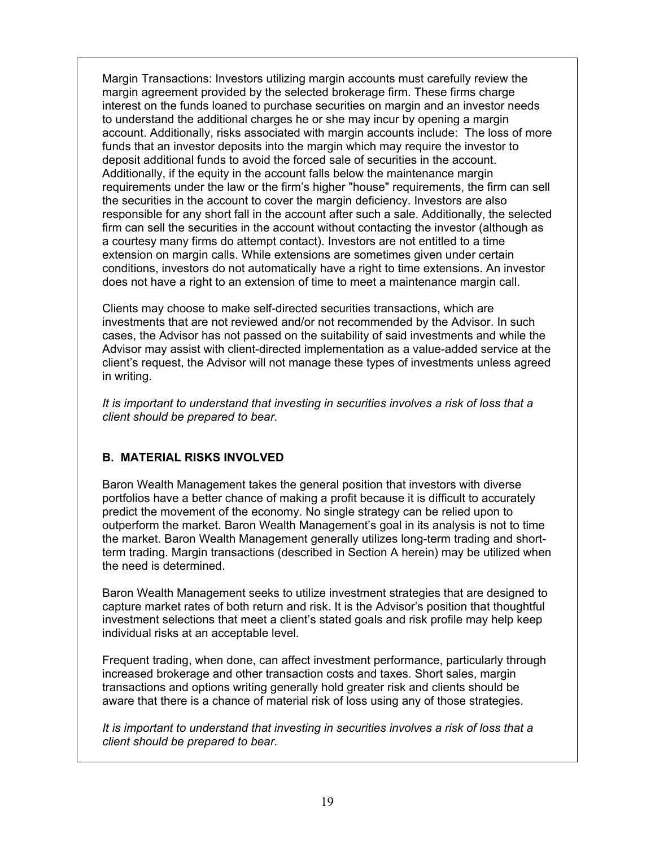Margin Transactions: Investors utilizing margin accounts must carefully review the margin agreement provided by the selected brokerage firm. These firms charge interest on the funds loaned to purchase securities on margin and an investor needs to understand the additional charges he or she may incur by opening a margin account. Additionally, risks associated with margin accounts include: The loss of more funds that an investor deposits into the margin which may require the investor to deposit additional funds to avoid the forced sale of securities in the account. Additionally, if the equity in the account falls below the maintenance margin requirements under the law or the firm's higher "house" requirements, the firm can sell the securities in the account to cover the margin deficiency. Investors are also responsible for any short fall in the account after such a sale. Additionally, the selected firm can sell the securities in the account without contacting the investor (although as a courtesy many firms do attempt contact). Investors are not entitled to a time extension on margin calls. While extensions are sometimes given under certain conditions, investors do not automatically have a right to time extensions. An investor does not have a right to an extension of time to meet a maintenance margin call.

Clients may choose to make self-directed securities transactions, which are investments that are not reviewed and/or not recommended by the Advisor. In such cases, the Advisor has not passed on the suitability of said investments and while the Advisor may assist with client-directed implementation as a value-added service at the client's request, the Advisor will not manage these types of investments unless agreed in writing.

*It is important to understand that investing in securities involves a risk of loss that a client should be prepared to bear.* 

#### **B. MATERIAL RISKS INVOLVED**

Baron Wealth Management takes the general position that investors with diverse portfolios have a better chance of making a profit because it is difficult to accurately predict the movement of the economy. No single strategy can be relied upon to outperform the market. Baron Wealth Management's goal in its analysis is not to time the market. Baron Wealth Management generally utilizes long-term trading and shortterm trading. Margin transactions (described in Section A herein) may be utilized when the need is determined.

Baron Wealth Management seeks to utilize investment strategies that are designed to capture market rates of both return and risk. It is the Advisor's position that thoughtful investment selections that meet a client's stated goals and risk profile may help keep individual risks at an acceptable level.

Frequent trading, when done, can affect investment performance, particularly through increased brokerage and other transaction costs and taxes. Short sales, margin transactions and options writing generally hold greater risk and clients should be aware that there is a chance of material risk of loss using any of those strategies.

*It is important to understand that investing in securities involves a risk of loss that a client should be prepared to bear.*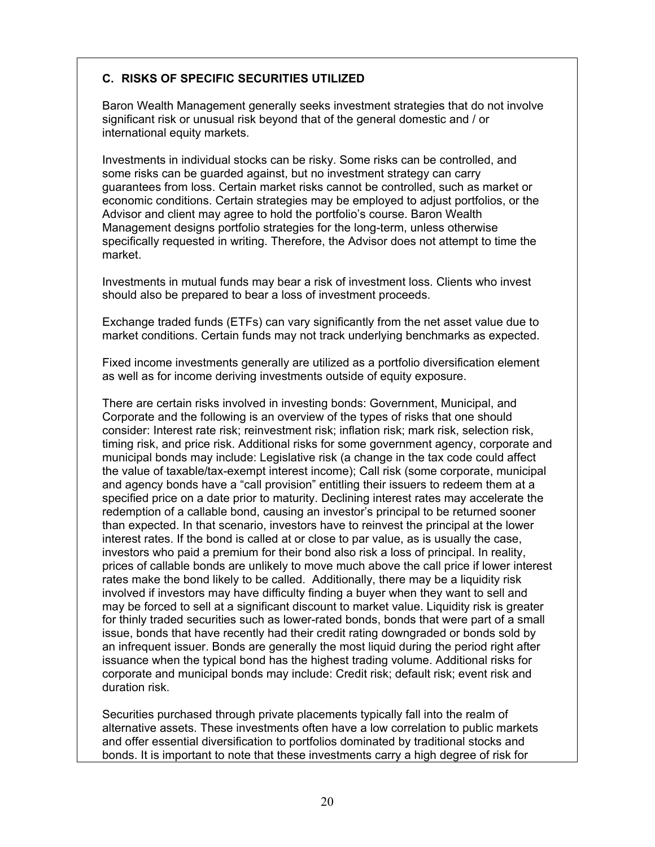#### **C. RISKS OF SPECIFIC SECURITIES UTILIZED**

Baron Wealth Management generally seeks investment strategies that do not involve significant risk or unusual risk beyond that of the general domestic and / or international equity markets.

Investments in individual stocks can be risky. Some risks can be controlled, and some risks can be guarded against, but no investment strategy can carry guarantees from loss. Certain market risks cannot be controlled, such as market or economic conditions. Certain strategies may be employed to adjust portfolios, or the Advisor and client may agree to hold the portfolio's course. Baron Wealth Management designs portfolio strategies for the long-term, unless otherwise specifically requested in writing. Therefore, the Advisor does not attempt to time the market.

Investments in mutual funds may bear a risk of investment loss. Clients who invest should also be prepared to bear a loss of investment proceeds.

Exchange traded funds (ETFs) can vary significantly from the net asset value due to market conditions. Certain funds may not track underlying benchmarks as expected.

Fixed income investments generally are utilized as a portfolio diversification element as well as for income deriving investments outside of equity exposure.

There are certain risks involved in investing bonds: Government, Municipal, and Corporate and the following is an overview of the types of risks that one should consider: Interest rate risk; reinvestment risk; inflation risk; mark risk, selection risk, timing risk, and price risk. Additional risks for some government agency, corporate and municipal bonds may include: Legislative risk (a change in the tax code could affect the value of taxable/tax-exempt interest income); Call risk (some corporate, municipal and agency bonds have a "call provision" entitling their issuers to redeem them at a specified price on a date prior to maturity. Declining interest rates may accelerate the redemption of a callable bond, causing an investor's principal to be returned sooner than expected. In that scenario, investors have to reinvest the principal at the lower interest rates. If the bond is called at or close to par value, as is usually the case, investors who paid a premium for their bond also risk a loss of principal. In reality, prices of callable bonds are unlikely to move much above the call price if lower interest rates make the bond likely to be called. Additionally, there may be a liquidity risk involved if investors may have difficulty finding a buyer when they want to sell and may be forced to sell at a significant discount to market value. Liquidity risk is greater for thinly traded securities such as lower-rated bonds, bonds that were part of a small issue, bonds that have recently had their credit rating downgraded or bonds sold by an infrequent issuer. Bonds are generally the most liquid during the period right after issuance when the typical bond has the highest trading volume. Additional risks for corporate and municipal bonds may include: Credit risk; default risk; event risk and duration risk.

Securities purchased through private placements typically fall into the realm of alternative assets. These investments often have a low correlation to public markets and offer essential diversification to portfolios dominated by traditional stocks and bonds. It is important to note that these investments carry a high degree of risk for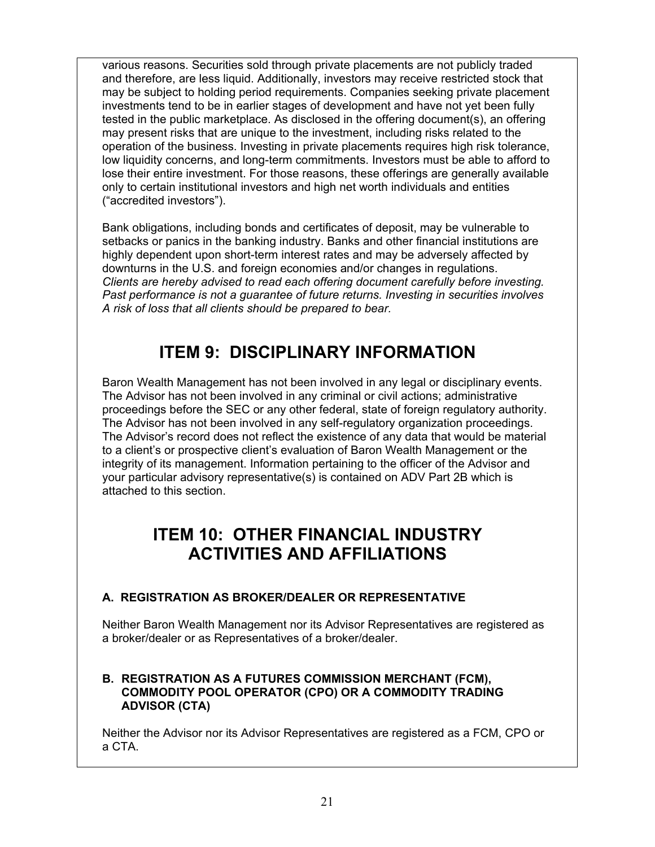various reasons. Securities sold through private placements are not publicly traded and therefore, are less liquid. Additionally, investors may receive restricted stock that may be subject to holding period requirements. Companies seeking private placement investments tend to be in earlier stages of development and have not yet been fully tested in the public marketplace. As disclosed in the offering document(s), an offering may present risks that are unique to the investment, including risks related to the operation of the business. Investing in private placements requires high risk tolerance, low liquidity concerns, and long-term commitments. Investors must be able to afford to lose their entire investment. For those reasons, these offerings are generally available only to certain institutional investors and high net worth individuals and entities ("accredited investors").

Bank obligations, including bonds and certificates of deposit, may be vulnerable to setbacks or panics in the banking industry. Banks and other financial institutions are highly dependent upon short-term interest rates and may be adversely affected by downturns in the U.S. and foreign economies and/or changes in regulations. *Clients are hereby advised to read each offering document carefully before investing. Past performance is not a guarantee of future returns. Investing in securities involves A risk of loss that all clients should be prepared to bear.* 

### **ITEM 9: DISCIPLINARY INFORMATION**

Baron Wealth Management has not been involved in any legal or disciplinary events. The Advisor has not been involved in any criminal or civil actions; administrative proceedings before the SEC or any other federal, state of foreign regulatory authority. The Advisor has not been involved in any self-regulatory organization proceedings. The Advisor's record does not reflect the existence of any data that would be material to a client's or prospective client's evaluation of Baron Wealth Management or the integrity of its management. Information pertaining to the officer of the Advisor and your particular advisory representative(s) is contained on ADV Part 2B which is attached to this section.

### **ITEM 10: OTHER FINANCIAL INDUSTRY ACTIVITIES AND AFFILIATIONS**

#### **A. REGISTRATION AS BROKER/DEALER OR REPRESENTATIVE**

Neither Baron Wealth Management nor its Advisor Representatives are registered as a broker/dealer or as Representatives of a broker/dealer.

#### **B. REGISTRATION AS A FUTURES COMMISSION MERCHANT (FCM), COMMODITY POOL OPERATOR (CPO) OR A COMMODITY TRADING ADVISOR (CTA)**

Neither the Advisor nor its Advisor Representatives are registered as a FCM, CPO or a CTA.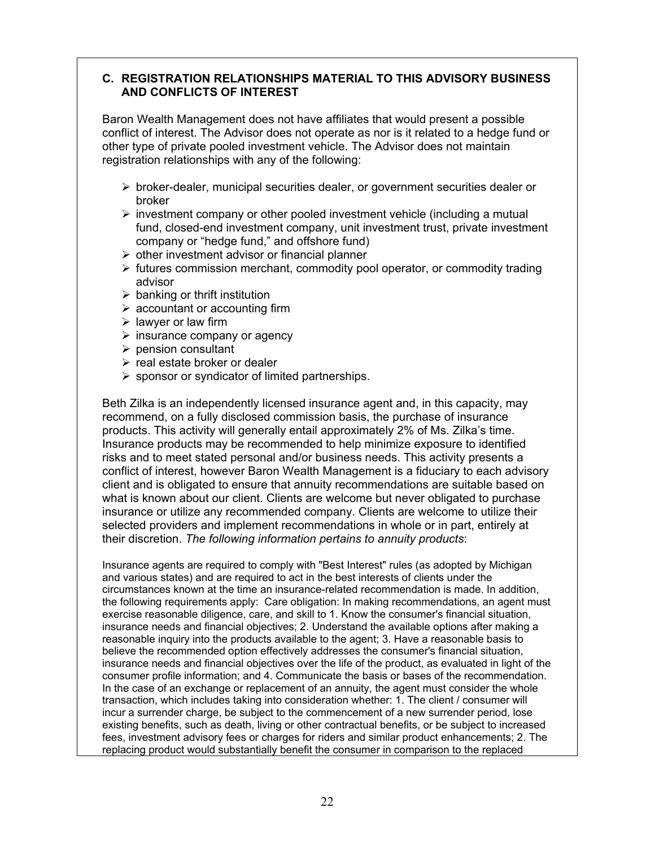#### **C. REGISTRATION RELATIONSHIPS MATERIAL TO THIS ADVISORY BUSINESS AND CONFLICTS OF INTEREST**

Baron Wealth Management does not have affiliates that would present a possible conflict of interest. The Advisor does not operate as nor is it related to a hedge fund or other type of private pooled investment vehicle. The Advisor does not maintain registration relationships with any of the following:

- $\triangleright$  broker-dealer, municipal securities dealer, or government securities dealer or broker
- $\triangleright$  investment company or other pooled investment vehicle (including a mutual fund, closed-end investment company, unit investment trust, private investment company or "hedge fund," and offshore fund)
- $\triangleright$  other investment advisor or financial planner
- $\triangleright$  futures commission merchant, commodity pool operator, or commodity trading advisor
- $\triangleright$  banking or thrift institution
- $\triangleright$  accountant or accounting firm
- $\triangleright$  lawyer or law firm
- $\triangleright$  insurance company or agency
- $\triangleright$  pension consultant
- $\triangleright$  real estate broker or dealer
- $\triangleright$  sponsor or syndicator of limited partnerships.

Beth Zilka is an independently licensed insurance agent and, in this capacity, may recommend, on a fully disclosed commission basis, the purchase of insurance products. This activity will generally entail approximately 2% of Ms. Zilka's time. Insurance products may be recommended to help minimize exposure to identified risks and to meet stated personal and/or business needs. This activity presents a conflict of interest, however Baron Wealth Management is a fiduciary to each advisory client and is obligated to ensure that annuity recommendations are suitable based on what is known about our client. Clients are welcome but never obligated to purchase insurance or utilize any recommended company. Clients are welcome to utilize their selected providers and implement recommendations in whole or in part, entirely at their discretion. *The following information pertains to annuity products*:

Insurance agents are required to comply with "Best Interest" rules (as adopted by Michigan and various states) and are required to act in the best interests of clients under the circumstances known at the time an insurance-related recommendation is made. In addition, the following requirements apply: Care obligation: In making recommendations, an agent must exercise reasonable diligence, care, and skill to 1. Know the consumer's financial situation, insurance needs and financial objectives; 2. Understand the available options after making a reasonable inquiry into the products available to the agent; 3. Have a reasonable basis to believe the recommended option effectively addresses the consumer's financial situation, insurance needs and financial objectives over the life of the product, as evaluated in light of the consumer profile information; and 4. Communicate the basis or bases of the recommendation. In the case of an exchange or replacement of an annuity, the agent must consider the whole transaction, which includes taking into consideration whether: 1. The client / consumer will incur a surrender charge, be subject to the commencement of a new surrender period, lose existing benefits, such as death, living or other contractual benefits, or be subject to increased fees, investment advisory fees or charges for riders and similar product enhancements; 2. The replacing product would substantially benefit the consumer in comparison to the replaced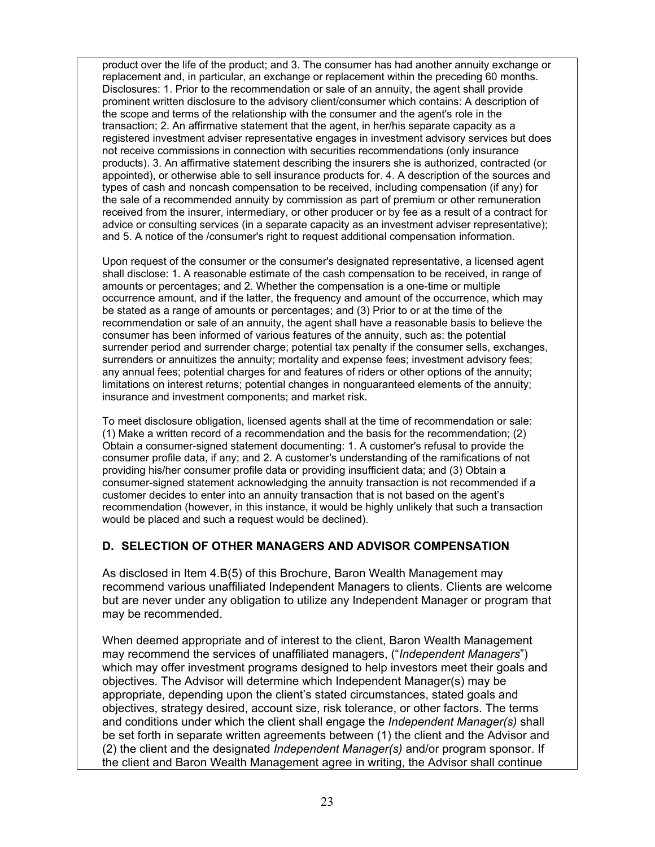product over the life of the product; and 3. The consumer has had another annuity exchange or replacement and, in particular, an exchange or replacement within the preceding 60 months. Disclosures: 1. Prior to the recommendation or sale of an annuity, the agent shall provide prominent written disclosure to the advisory client/consumer which contains: A description of the scope and terms of the relationship with the consumer and the agent's role in the transaction; 2. An affirmative statement that the agent, in her/his separate capacity as a registered investment adviser representative engages in investment advisory services but does not receive commissions in connection with securities recommendations (only insurance products). 3. An affirmative statement describing the insurers she is authorized, contracted (or appointed), or otherwise able to sell insurance products for. 4. A description of the sources and types of cash and noncash compensation to be received, including compensation (if any) for the sale of a recommended annuity by commission as part of premium or other remuneration received from the insurer, intermediary, or other producer or by fee as a result of a contract for advice or consulting services (in a separate capacity as an investment adviser representative); and 5. A notice of the /consumer's right to request additional compensation information.

Upon request of the consumer or the consumer's designated representative, a licensed agent shall disclose: 1. A reasonable estimate of the cash compensation to be received, in range of amounts or percentages; and 2. Whether the compensation is a one-time or multiple occurrence amount, and if the latter, the frequency and amount of the occurrence, which may be stated as a range of amounts or percentages; and (3) Prior to or at the time of the recommendation or sale of an annuity, the agent shall have a reasonable basis to believe the consumer has been informed of various features of the annuity, such as: the potential surrender period and surrender charge; potential tax penalty if the consumer sells, exchanges, surrenders or annuitizes the annuity; mortality and expense fees; investment advisory fees; any annual fees; potential charges for and features of riders or other options of the annuity; limitations on interest returns; potential changes in nonguaranteed elements of the annuity; insurance and investment components; and market risk.

To meet disclosure obligation, licensed agents shall at the time of recommendation or sale: (1) Make a written record of a recommendation and the basis for the recommendation; (2) Obtain a consumer-signed statement documenting: 1. A customer's refusal to provide the consumer profile data, if any; and 2. A customer's understanding of the ramifications of not providing his/her consumer profile data or providing insufficient data; and (3) Obtain a consumer-signed statement acknowledging the annuity transaction is not recommended if a customer decides to enter into an annuity transaction that is not based on the agent's recommendation (however, in this instance, it would be highly unlikely that such a transaction would be placed and such a request would be declined).

#### **D. SELECTION OF OTHER MANAGERS AND ADVISOR COMPENSATION**

As disclosed in Item 4.B(5) of this Brochure, Baron Wealth Management may recommend various unaffiliated Independent Managers to clients. Clients are welcome but are never under any obligation to utilize any Independent Manager or program that may be recommended.

When deemed appropriate and of interest to the client, Baron Wealth Management may recommend the services of unaffiliated managers, ("*Independent Managers*") which may offer investment programs designed to help investors meet their goals and objectives. The Advisor will determine which Independent Manager(s) may be appropriate, depending upon the client's stated circumstances, stated goals and objectives, strategy desired, account size, risk tolerance, or other factors. The terms and conditions under which the client shall engage the *Independent Manager(s)* shall be set forth in separate written agreements between (1) the client and the Advisor and (2) the client and the designated *Independent Manager(s)* and/or program sponsor. If the client and Baron Wealth Management agree in writing, the Advisor shall continue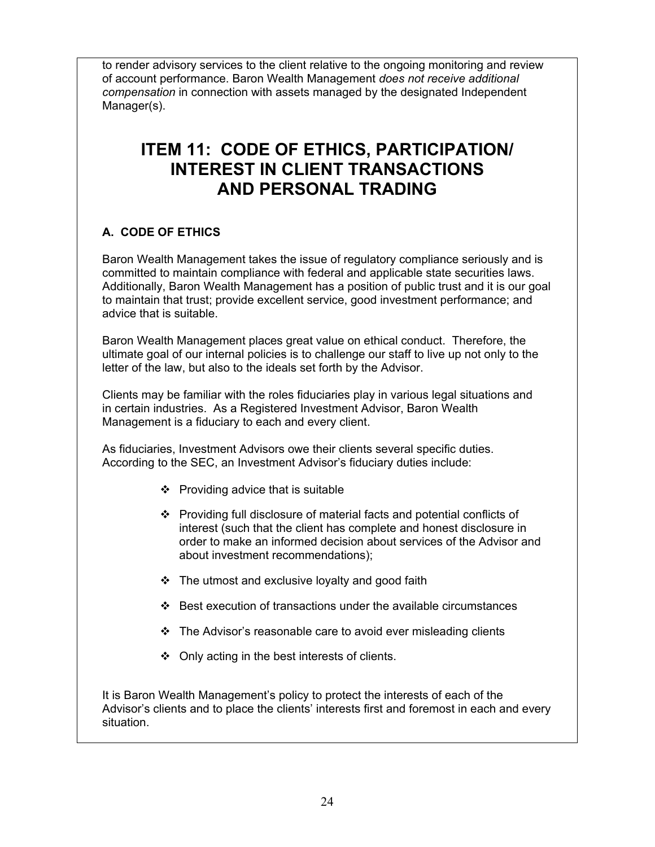to render advisory services to the client relative to the ongoing monitoring and review of account performance. Baron Wealth Management *does not receive additional compensation* in connection with assets managed by the designated Independent Manager(s).

### **ITEM 11: CODE OF ETHICS, PARTICIPATION/ INTEREST IN CLIENT TRANSACTIONS AND PERSONAL TRADING**

#### **A. CODE OF ETHICS**

Baron Wealth Management takes the issue of regulatory compliance seriously and is committed to maintain compliance with federal and applicable state securities laws. Additionally, Baron Wealth Management has a position of public trust and it is our goal to maintain that trust; provide excellent service, good investment performance; and advice that is suitable.

Baron Wealth Management places great value on ethical conduct. Therefore, the ultimate goal of our internal policies is to challenge our staff to live up not only to the letter of the law, but also to the ideals set forth by the Advisor.

Clients may be familiar with the roles fiduciaries play in various legal situations and in certain industries. As a Registered Investment Advisor, Baron Wealth Management is a fiduciary to each and every client.

As fiduciaries, Investment Advisors owe their clients several specific duties. According to the SEC, an Investment Advisor's fiduciary duties include:

- $\div$  Providing advice that is suitable
- Providing full disclosure of material facts and potential conflicts of interest (such that the client has complete and honest disclosure in order to make an informed decision about services of the Advisor and about investment recommendations);
- $\div$  The utmost and exclusive loyalty and good faith
- $\div$  Best execution of transactions under the available circumstances
- $\div$  The Advisor's reasonable care to avoid ever misleading clients
- $\div$  Only acting in the best interests of clients.

It is Baron Wealth Management's policy to protect the interests of each of the Advisor's clients and to place the clients' interests first and foremost in each and every situation.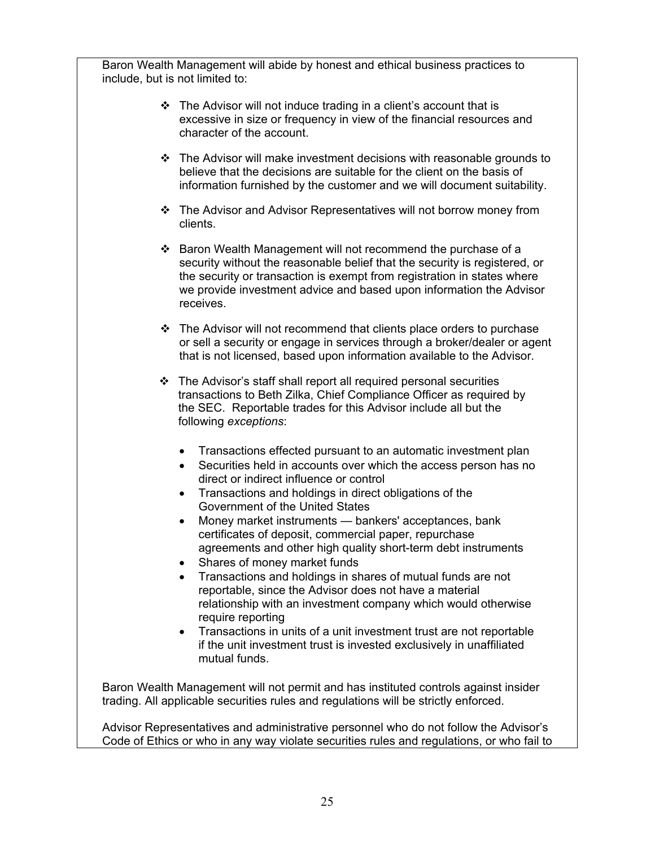Baron Wealth Management will abide by honest and ethical business practices to include, but is not limited to:

- The Advisor will not induce trading in a client's account that is excessive in size or frequency in view of the financial resources and character of the account.
- The Advisor will make investment decisions with reasonable grounds to believe that the decisions are suitable for the client on the basis of information furnished by the customer and we will document suitability.
- The Advisor and Advisor Representatives will not borrow money from clients.
- ❖ Baron Wealth Management will not recommend the purchase of a security without the reasonable belief that the security is registered, or the security or transaction is exempt from registration in states where we provide investment advice and based upon information the Advisor receives.
- The Advisor will not recommend that clients place orders to purchase or sell a security or engage in services through a broker/dealer or agent that is not licensed, based upon information available to the Advisor.
- The Advisor's staff shall report all required personal securities transactions to Beth Zilka, Chief Compliance Officer as required by the SEC. Reportable trades for this Advisor include all but the following *exceptions*:
	- Transactions effected pursuant to an automatic investment plan
	- Securities held in accounts over which the access person has no direct or indirect influence or control
	- Transactions and holdings in direct obligations of the Government of the United States
	- Money market instruments bankers' acceptances, bank certificates of deposit, commercial paper, repurchase agreements and other high quality short-term debt instruments
	- Shares of money market funds
	- Transactions and holdings in shares of mutual funds are not reportable, since the Advisor does not have a material relationship with an investment company which would otherwise require reporting
	- Transactions in units of a unit investment trust are not reportable if the unit investment trust is invested exclusively in unaffiliated mutual funds.

Baron Wealth Management will not permit and has instituted controls against insider trading. All applicable securities rules and regulations will be strictly enforced.

Advisor Representatives and administrative personnel who do not follow the Advisor's Code of Ethics or who in any way violate securities rules and regulations, or who fail to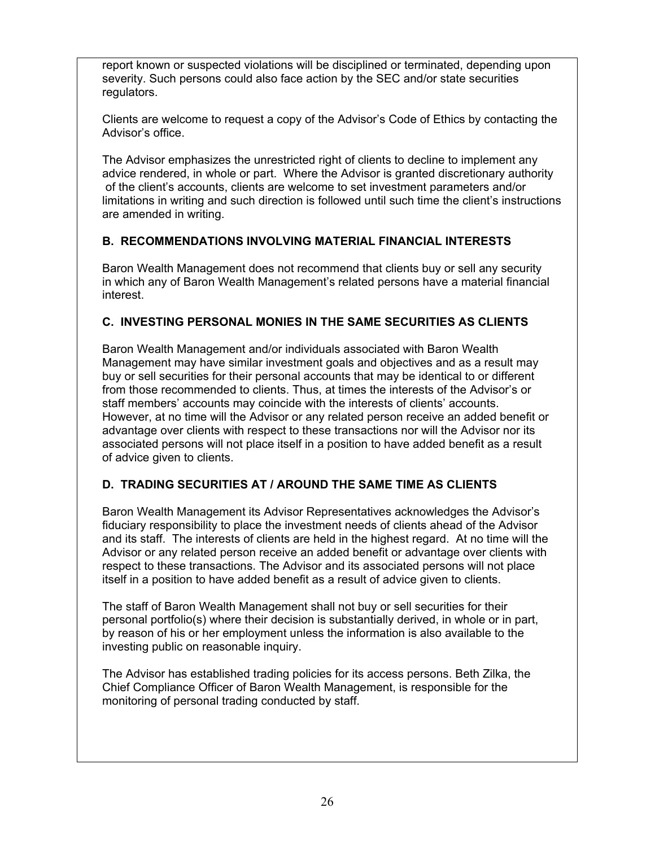report known or suspected violations will be disciplined or terminated, depending upon severity. Such persons could also face action by the SEC and/or state securities regulators.

Clients are welcome to request a copy of the Advisor's Code of Ethics by contacting the Advisor's office.

The Advisor emphasizes the unrestricted right of clients to decline to implement any advice rendered, in whole or part. Where the Advisor is granted discretionary authority of the client's accounts, clients are welcome to set investment parameters and/or limitations in writing and such direction is followed until such time the client's instructions are amended in writing.

#### **B. RECOMMENDATIONS INVOLVING MATERIAL FINANCIAL INTERESTS**

Baron Wealth Management does not recommend that clients buy or sell any security in which any of Baron Wealth Management's related persons have a material financial interest.

#### **C. INVESTING PERSONAL MONIES IN THE SAME SECURITIES AS CLIENTS**

Baron Wealth Management and/or individuals associated with Baron Wealth Management may have similar investment goals and objectives and as a result may buy or sell securities for their personal accounts that may be identical to or different from those recommended to clients. Thus, at times the interests of the Advisor's or staff members' accounts may coincide with the interests of clients' accounts. However, at no time will the Advisor or any related person receive an added benefit or advantage over clients with respect to these transactions nor will the Advisor nor its associated persons will not place itself in a position to have added benefit as a result of advice given to clients.

#### **D. TRADING SECURITIES AT / AROUND THE SAME TIME AS CLIENTS**

Baron Wealth Management its Advisor Representatives acknowledges the Advisor's fiduciary responsibility to place the investment needs of clients ahead of the Advisor and its staff. The interests of clients are held in the highest regard. At no time will the Advisor or any related person receive an added benefit or advantage over clients with respect to these transactions. The Advisor and its associated persons will not place itself in a position to have added benefit as a result of advice given to clients.

The staff of Baron Wealth Management shall not buy or sell securities for their personal portfolio(s) where their decision is substantially derived, in whole or in part, by reason of his or her employment unless the information is also available to the investing public on reasonable inquiry.

The Advisor has established trading policies for its access persons. Beth Zilka, the Chief Compliance Officer of Baron Wealth Management, is responsible for the monitoring of personal trading conducted by staff.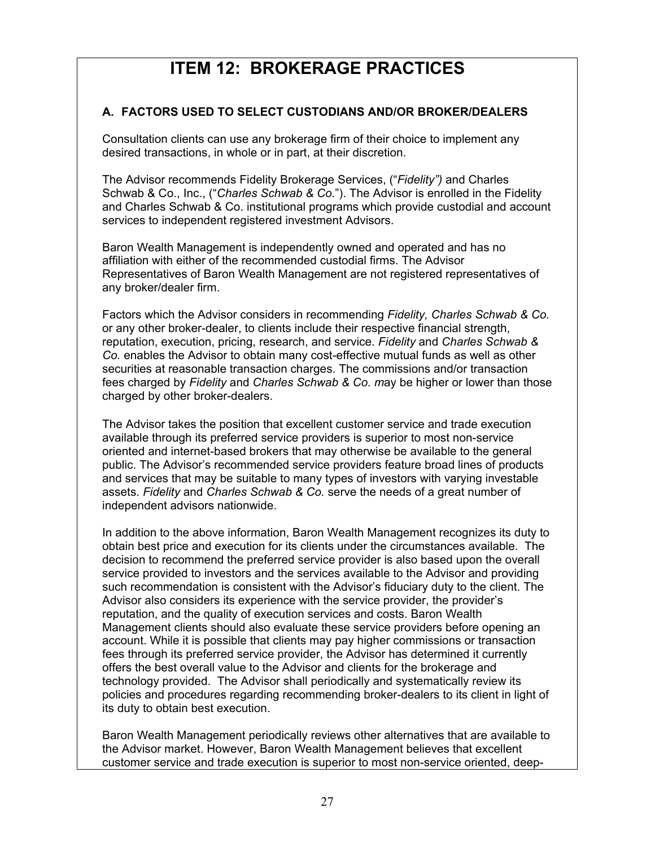### **ITEM 12: BROKERAGE PRACTICES**

#### **A. FACTORS USED TO SELECT CUSTODIANS AND/OR BROKER/DEALERS**

Consultation clients can use any brokerage firm of their choice to implement any desired transactions, in whole or in part, at their discretion.

The Advisor recommends Fidelity Brokerage Services, ("*Fidelity")* and Charles Schwab & Co., Inc., ("*Charles Schwab & Co.*"). The Advisor is enrolled in the Fidelity and Charles Schwab & Co. institutional programs which provide custodial and account services to independent registered investment Advisors.

Baron Wealth Management is independently owned and operated and has no affiliation with either of the recommended custodial firms. The Advisor Representatives of Baron Wealth Management are not registered representatives of any broker/dealer firm.

Factors which the Advisor considers in recommending *Fidelity, Charles Schwab & Co.* or any other broker-dealer, to clients include their respective financial strength, reputation, execution, pricing, research, and service. *Fidelity* and *Charles Schwab & Co.* enables the Advisor to obtain many cost-effective mutual funds as well as other securities at reasonable transaction charges. The commissions and/or transaction fees charged by *Fidelity* and *Charles Schwab & Co. m*ay be higher or lower than those charged by other broker-dealers.

The Advisor takes the position that excellent customer service and trade execution available through its preferred service providers is superior to most non-service oriented and internet-based brokers that may otherwise be available to the general public. The Advisor's recommended service providers feature broad lines of products and services that may be suitable to many types of investors with varying investable assets. *Fidelity* and *Charles Schwab & Co.* serve the needs of a great number of independent advisors nationwide.

In addition to the above information, Baron Wealth Management recognizes its duty to obtain best price and execution for its clients under the circumstances available. The decision to recommend the preferred service provider is also based upon the overall service provided to investors and the services available to the Advisor and providing such recommendation is consistent with the Advisor's fiduciary duty to the client. The Advisor also considers its experience with the service provider, the provider's reputation, and the quality of execution services and costs. Baron Wealth Management clients should also evaluate these service providers before opening an account. While it is possible that clients may pay higher commissions or transaction fees through its preferred service provider, the Advisor has determined it currently offers the best overall value to the Advisor and clients for the brokerage and technology provided. The Advisor shall periodically and systematically review its policies and procedures regarding recommending broker-dealers to its client in light of its duty to obtain best execution.

Baron Wealth Management periodically reviews other alternatives that are available to the Advisor market. However, Baron Wealth Management believes that excellent customer service and trade execution is superior to most non-service oriented, deep-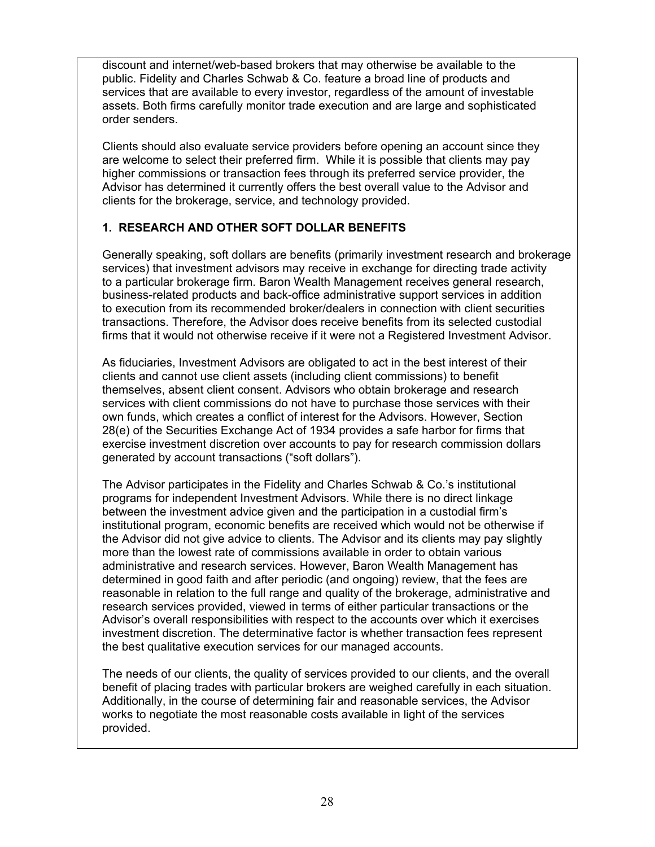discount and internet/web-based brokers that may otherwise be available to the public. Fidelity and Charles Schwab & Co. feature a broad line of products and services that are available to every investor, regardless of the amount of investable assets. Both firms carefully monitor trade execution and are large and sophisticated order senders.

Clients should also evaluate service providers before opening an account since they are welcome to select their preferred firm. While it is possible that clients may pay higher commissions or transaction fees through its preferred service provider, the Advisor has determined it currently offers the best overall value to the Advisor and clients for the brokerage, service, and technology provided.

#### **1. RESEARCH AND OTHER SOFT DOLLAR BENEFITS**

Generally speaking, soft dollars are benefits (primarily investment research and brokerage services) that investment advisors may receive in exchange for directing trade activity to a particular brokerage firm. Baron Wealth Management receives general research, business-related products and back-office administrative support services in addition to execution from its recommended broker/dealers in connection with client securities transactions. Therefore, the Advisor does receive benefits from its selected custodial firms that it would not otherwise receive if it were not a Registered Investment Advisor.

As fiduciaries, Investment Advisors are obligated to act in the best interest of their clients and cannot use client assets (including client commissions) to benefit themselves, absent client consent. Advisors who obtain brokerage and research services with client commissions do not have to purchase those services with their own funds, which creates a conflict of interest for the Advisors. However, Section 28(e) of the Securities Exchange Act of 1934 provides a safe harbor for firms that exercise investment discretion over accounts to pay for research commission dollars generated by account transactions ("soft dollars").

The Advisor participates in the Fidelity and Charles Schwab & Co.'s institutional programs for independent Investment Advisors. While there is no direct linkage between the investment advice given and the participation in a custodial firm's institutional program, economic benefits are received which would not be otherwise if the Advisor did not give advice to clients. The Advisor and its clients may pay slightly more than the lowest rate of commissions available in order to obtain various administrative and research services. However, Baron Wealth Management has determined in good faith and after periodic (and ongoing) review, that the fees are reasonable in relation to the full range and quality of the brokerage, administrative and research services provided, viewed in terms of either particular transactions or the Advisor's overall responsibilities with respect to the accounts over which it exercises investment discretion. The determinative factor is whether transaction fees represent the best qualitative execution services for our managed accounts.

The needs of our clients, the quality of services provided to our clients, and the overall benefit of placing trades with particular brokers are weighed carefully in each situation. Additionally, in the course of determining fair and reasonable services, the Advisor works to negotiate the most reasonable costs available in light of the services provided.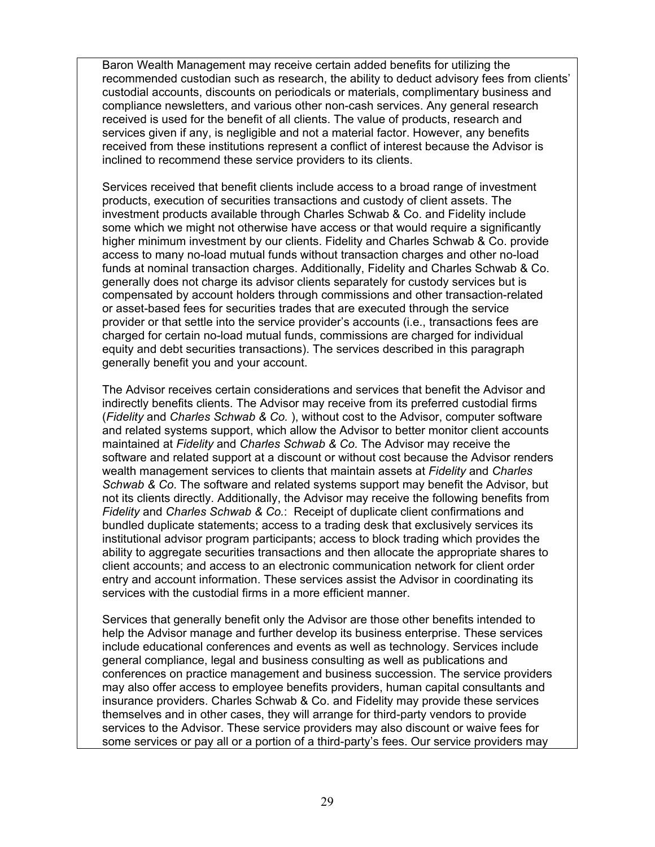Baron Wealth Management may receive certain added benefits for utilizing the recommended custodian such as research, the ability to deduct advisory fees from clients' custodial accounts, discounts on periodicals or materials, complimentary business and compliance newsletters, and various other non-cash services. Any general research received is used for the benefit of all clients. The value of products, research and services given if any, is negligible and not a material factor. However, any benefits received from these institutions represent a conflict of interest because the Advisor is inclined to recommend these service providers to its clients.

Services received that benefit clients include access to a broad range of investment products, execution of securities transactions and custody of client assets. The investment products available through Charles Schwab & Co. and Fidelity include some which we might not otherwise have access or that would require a significantly higher minimum investment by our clients. Fidelity and Charles Schwab & Co. provide access to many no-load mutual funds without transaction charges and other no-load funds at nominal transaction charges. Additionally, Fidelity and Charles Schwab & Co. generally does not charge its advisor clients separately for custody services but is compensated by account holders through commissions and other transaction-related or asset-based fees for securities trades that are executed through the service provider or that settle into the service provider's accounts (i.e., transactions fees are charged for certain no-load mutual funds, commissions are charged for individual equity and debt securities transactions). The services described in this paragraph generally benefit you and your account.

The Advisor receives certain considerations and services that benefit the Advisor and indirectly benefits clients. The Advisor may receive from its preferred custodial firms (*Fidelity* and *Charles Schwab & Co.* ), without cost to the Advisor, computer software and related systems support, which allow the Advisor to better monitor client accounts maintained at *Fidelity* and *Charles Schwab & Co.* The Advisor may receive the software and related support at a discount or without cost because the Advisor renders wealth management services to clients that maintain assets at *Fidelity* and *Charles Schwab & Co*. The software and related systems support may benefit the Advisor, but not its clients directly. Additionally, the Advisor may receive the following benefits from *Fidelity* and *Charles Schwab & Co.*: Receipt of duplicate client confirmations and bundled duplicate statements; access to a trading desk that exclusively services its institutional advisor program participants; access to block trading which provides the ability to aggregate securities transactions and then allocate the appropriate shares to client accounts; and access to an electronic communication network for client order entry and account information. These services assist the Advisor in coordinating its services with the custodial firms in a more efficient manner.

Services that generally benefit only the Advisor are those other benefits intended to help the Advisor manage and further develop its business enterprise. These services include educational conferences and events as well as technology. Services include general compliance, legal and business consulting as well as publications and conferences on practice management and business succession. The service providers may also offer access to employee benefits providers, human capital consultants and insurance providers. Charles Schwab & Co. and Fidelity may provide these services themselves and in other cases, they will arrange for third-party vendors to provide services to the Advisor. These service providers may also discount or waive fees for some services or pay all or a portion of a third-party's fees. Our service providers may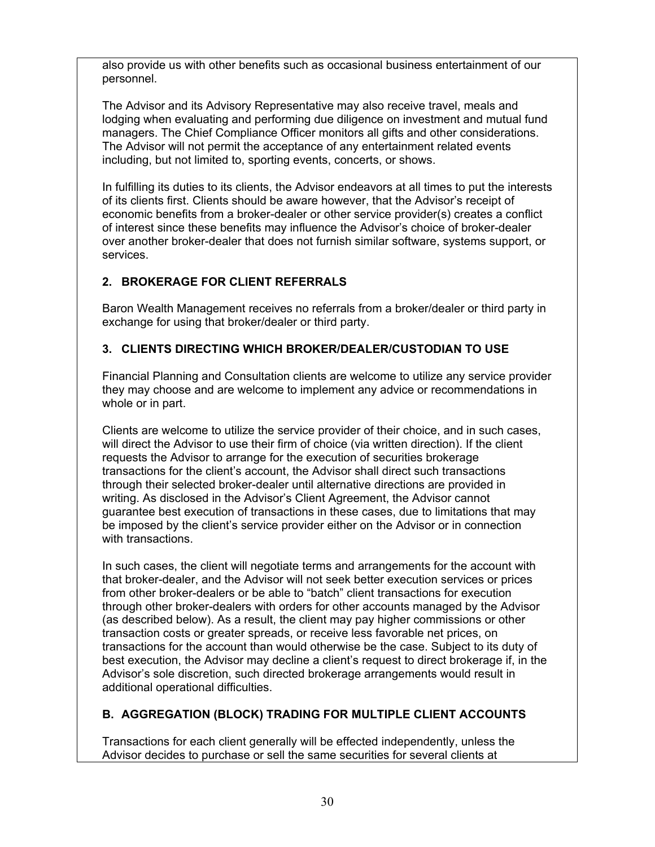also provide us with other benefits such as occasional business entertainment of our personnel.

The Advisor and its Advisory Representative may also receive travel, meals and lodging when evaluating and performing due diligence on investment and mutual fund managers. The Chief Compliance Officer monitors all gifts and other considerations. The Advisor will not permit the acceptance of any entertainment related events including, but not limited to, sporting events, concerts, or shows.

In fulfilling its duties to its clients, the Advisor endeavors at all times to put the interests of its clients first. Clients should be aware however, that the Advisor's receipt of economic benefits from a broker-dealer or other service provider(s) creates a conflict of interest since these benefits may influence the Advisor's choice of broker-dealer over another broker-dealer that does not furnish similar software, systems support, or services.

#### **2. BROKERAGE FOR CLIENT REFERRALS**

Baron Wealth Management receives no referrals from a broker/dealer or third party in exchange for using that broker/dealer or third party.

#### **3. CLIENTS DIRECTING WHICH BROKER/DEALER/CUSTODIAN TO USE**

Financial Planning and Consultation clients are welcome to utilize any service provider they may choose and are welcome to implement any advice or recommendations in whole or in part.

Clients are welcome to utilize the service provider of their choice, and in such cases, will direct the Advisor to use their firm of choice (via written direction). If the client requests the Advisor to arrange for the execution of securities brokerage transactions for the client's account, the Advisor shall direct such transactions through their selected broker-dealer until alternative directions are provided in writing. As disclosed in the Advisor's Client Agreement, the Advisor cannot guarantee best execution of transactions in these cases, due to limitations that may be imposed by the client's service provider either on the Advisor or in connection with transactions.

In such cases, the client will negotiate terms and arrangements for the account with that broker-dealer, and the Advisor will not seek better execution services or prices from other broker-dealers or be able to "batch" client transactions for execution through other broker-dealers with orders for other accounts managed by the Advisor (as described below). As a result, the client may pay higher commissions or other transaction costs or greater spreads, or receive less favorable net prices, on transactions for the account than would otherwise be the case. Subject to its duty of best execution, the Advisor may decline a client's request to direct brokerage if, in the Advisor's sole discretion, such directed brokerage arrangements would result in additional operational difficulties.

#### **B. AGGREGATION (BLOCK) TRADING FOR MULTIPLE CLIENT ACCOUNTS**

Transactions for each client generally will be effected independently, unless the Advisor decides to purchase or sell the same securities for several clients at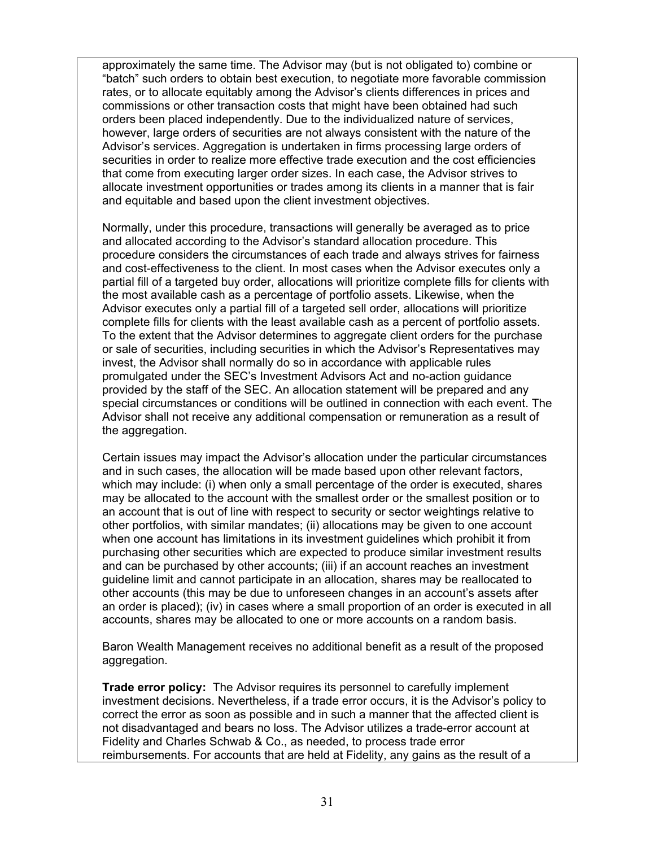approximately the same time. The Advisor may (but is not obligated to) combine or "batch" such orders to obtain best execution, to negotiate more favorable commission rates, or to allocate equitably among the Advisor's clients differences in prices and commissions or other transaction costs that might have been obtained had such orders been placed independently. Due to the individualized nature of services, however, large orders of securities are not always consistent with the nature of the Advisor's services. Aggregation is undertaken in firms processing large orders of securities in order to realize more effective trade execution and the cost efficiencies that come from executing larger order sizes. In each case, the Advisor strives to allocate investment opportunities or trades among its clients in a manner that is fair and equitable and based upon the client investment objectives.

Normally, under this procedure, transactions will generally be averaged as to price and allocated according to the Advisor's standard allocation procedure. This procedure considers the circumstances of each trade and always strives for fairness and cost-effectiveness to the client. In most cases when the Advisor executes only a partial fill of a targeted buy order, allocations will prioritize complete fills for clients with the most available cash as a percentage of portfolio assets. Likewise, when the Advisor executes only a partial fill of a targeted sell order, allocations will prioritize complete fills for clients with the least available cash as a percent of portfolio assets. To the extent that the Advisor determines to aggregate client orders for the purchase or sale of securities, including securities in which the Advisor's Representatives may invest, the Advisor shall normally do so in accordance with applicable rules promulgated under the SEC's Investment Advisors Act and no-action guidance provided by the staff of the SEC. An allocation statement will be prepared and any special circumstances or conditions will be outlined in connection with each event. The Advisor shall not receive any additional compensation or remuneration as a result of the aggregation.

Certain issues may impact the Advisor's allocation under the particular circumstances and in such cases, the allocation will be made based upon other relevant factors, which may include: (i) when only a small percentage of the order is executed, shares may be allocated to the account with the smallest order or the smallest position or to an account that is out of line with respect to security or sector weightings relative to other portfolios, with similar mandates; (ii) allocations may be given to one account when one account has limitations in its investment guidelines which prohibit it from purchasing other securities which are expected to produce similar investment results and can be purchased by other accounts; (iii) if an account reaches an investment guideline limit and cannot participate in an allocation, shares may be reallocated to other accounts (this may be due to unforeseen changes in an account's assets after an order is placed); (iv) in cases where a small proportion of an order is executed in all accounts, shares may be allocated to one or more accounts on a random basis.

Baron Wealth Management receives no additional benefit as a result of the proposed aggregation.

**Trade error policy:** The Advisor requires its personnel to carefully implement investment decisions. Nevertheless, if a trade error occurs, it is the Advisor's policy to correct the error as soon as possible and in such a manner that the affected client is not disadvantaged and bears no loss. The Advisor utilizes a trade-error account at Fidelity and Charles Schwab & Co., as needed, to process trade error reimbursements. For accounts that are held at Fidelity, any gains as the result of a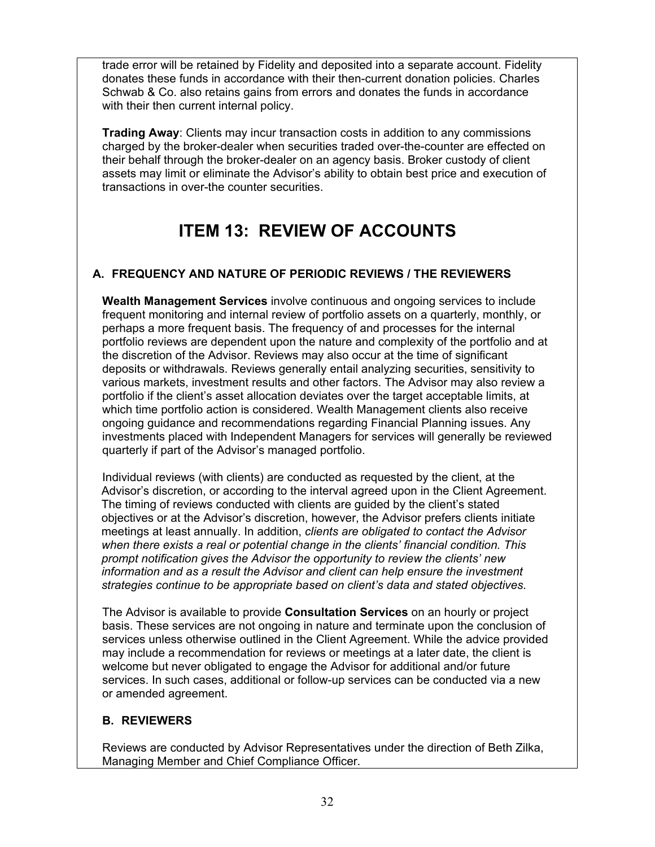trade error will be retained by Fidelity and deposited into a separate account. Fidelity donates these funds in accordance with their then-current donation policies. Charles Schwab & Co. also retains gains from errors and donates the funds in accordance with their then current internal policy.

**Trading Away**: Clients may incur transaction costs in addition to any commissions charged by the broker-dealer when securities traded over-the-counter are effected on their behalf through the broker-dealer on an agency basis. Broker custody of client assets may limit or eliminate the Advisor's ability to obtain best price and execution of transactions in over-the counter securities.

### **ITEM 13: REVIEW OF ACCOUNTS**

#### **A. FREQUENCY AND NATURE OF PERIODIC REVIEWS / THE REVIEWERS**

**Wealth Management Services** involve continuous and ongoing services to include frequent monitoring and internal review of portfolio assets on a quarterly, monthly, or perhaps a more frequent basis. The frequency of and processes for the internal portfolio reviews are dependent upon the nature and complexity of the portfolio and at the discretion of the Advisor. Reviews may also occur at the time of significant deposits or withdrawals. Reviews generally entail analyzing securities, sensitivity to various markets, investment results and other factors. The Advisor may also review a portfolio if the client's asset allocation deviates over the target acceptable limits, at which time portfolio action is considered. Wealth Management clients also receive ongoing guidance and recommendations regarding Financial Planning issues. Any investments placed with Independent Managers for services will generally be reviewed quarterly if part of the Advisor's managed portfolio.

Individual reviews (with clients) are conducted as requested by the client, at the Advisor's discretion, or according to the interval agreed upon in the Client Agreement. The timing of reviews conducted with clients are guided by the client's stated objectives or at the Advisor's discretion, however, the Advisor prefers clients initiate meetings at least annually. In addition, *clients are obligated to contact the Advisor when there exists a real or potential change in the clients' financial condition. This prompt notification gives the Advisor the opportunity to review the clients' new information and as a result the Advisor and client can help ensure the investment strategies continue to be appropriate based on client's data and stated objectives.*

The Advisor is available to provide **Consultation Services** on an hourly or project basis. These services are not ongoing in nature and terminate upon the conclusion of services unless otherwise outlined in the Client Agreement. While the advice provided may include a recommendation for reviews or meetings at a later date, the client is welcome but never obligated to engage the Advisor for additional and/or future services. In such cases, additional or follow-up services can be conducted via a new or amended agreement.

#### **B. REVIEWERS**

Reviews are conducted by Advisor Representatives under the direction of Beth Zilka, Managing Member and Chief Compliance Officer.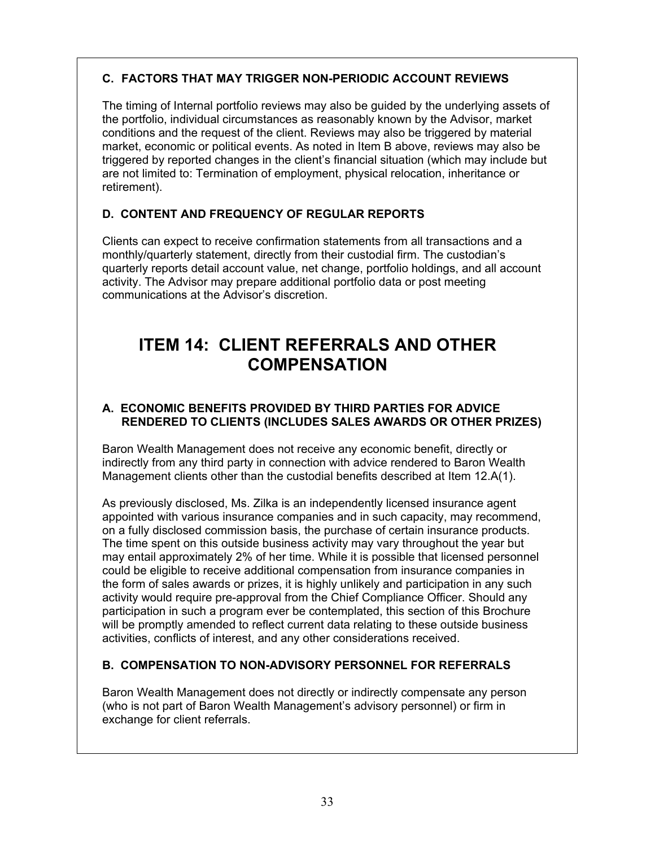#### **C. FACTORS THAT MAY TRIGGER NON-PERIODIC ACCOUNT REVIEWS**

The timing of Internal portfolio reviews may also be guided by the underlying assets of the portfolio, individual circumstances as reasonably known by the Advisor, market conditions and the request of the client. Reviews may also be triggered by material market, economic or political events. As noted in Item B above, reviews may also be triggered by reported changes in the client's financial situation (which may include but are not limited to: Termination of employment, physical relocation, inheritance or retirement).

#### **D. CONTENT AND FREQUENCY OF REGULAR REPORTS**

Clients can expect to receive confirmation statements from all transactions and a monthly/quarterly statement, directly from their custodial firm. The custodian's quarterly reports detail account value, net change, portfolio holdings, and all account activity. The Advisor may prepare additional portfolio data or post meeting communications at the Advisor's discretion.

### **ITEM 14: CLIENT REFERRALS AND OTHER COMPENSATION**

#### **A. ECONOMIC BENEFITS PROVIDED BY THIRD PARTIES FOR ADVICE RENDERED TO CLIENTS (INCLUDES SALES AWARDS OR OTHER PRIZES)**

Baron Wealth Management does not receive any economic benefit, directly or indirectly from any third party in connection with advice rendered to Baron Wealth Management clients other than the custodial benefits described at Item 12.A(1).

As previously disclosed, Ms. Zilka is an independently licensed insurance agent appointed with various insurance companies and in such capacity, may recommend, on a fully disclosed commission basis, the purchase of certain insurance products. The time spent on this outside business activity may vary throughout the year but may entail approximately 2% of her time. While it is possible that licensed personnel could be eligible to receive additional compensation from insurance companies in the form of sales awards or prizes, it is highly unlikely and participation in any such activity would require pre-approval from the Chief Compliance Officer. Should any participation in such a program ever be contemplated, this section of this Brochure will be promptly amended to reflect current data relating to these outside business activities, conflicts of interest, and any other considerations received.

#### **B. COMPENSATION TO NON-ADVISORY PERSONNEL FOR REFERRALS**

Baron Wealth Management does not directly or indirectly compensate any person (who is not part of Baron Wealth Management's advisory personnel) or firm in exchange for client referrals.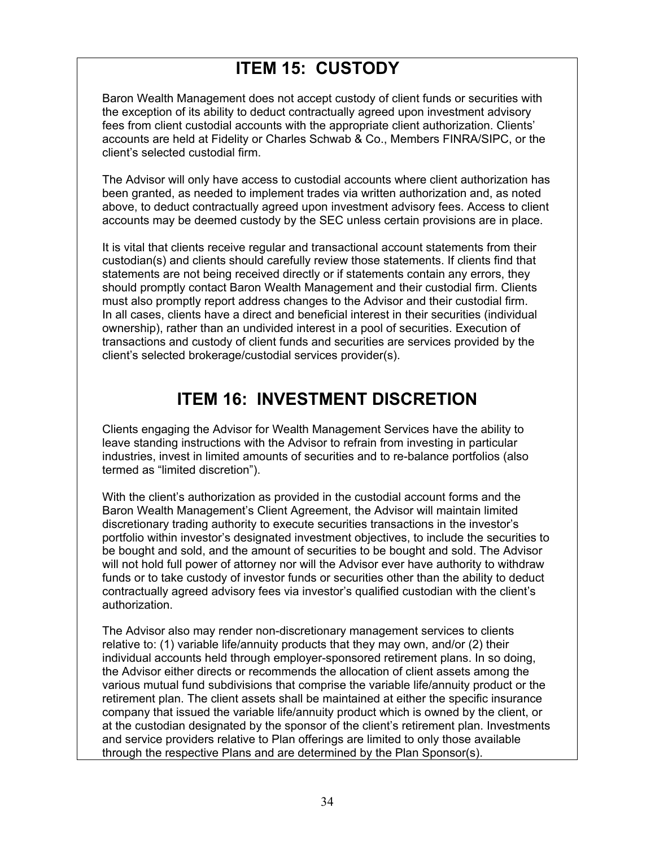### **ITEM 15: CUSTODY**

Baron Wealth Management does not accept custody of client funds or securities with the exception of its ability to deduct contractually agreed upon investment advisory fees from client custodial accounts with the appropriate client authorization. Clients' accounts are held at Fidelity or Charles Schwab & Co., Members FINRA/SIPC, or the client's selected custodial firm.

The Advisor will only have access to custodial accounts where client authorization has been granted, as needed to implement trades via written authorization and, as noted above, to deduct contractually agreed upon investment advisory fees. Access to client accounts may be deemed custody by the SEC unless certain provisions are in place.

It is vital that clients receive regular and transactional account statements from their custodian(s) and clients should carefully review those statements. If clients find that statements are not being received directly or if statements contain any errors, they should promptly contact Baron Wealth Management and their custodial firm. Clients must also promptly report address changes to the Advisor and their custodial firm. In all cases, clients have a direct and beneficial interest in their securities (individual ownership), rather than an undivided interest in a pool of securities. Execution of transactions and custody of client funds and securities are services provided by the client's selected brokerage/custodial services provider(s).

### **ITEM 16: INVESTMENT DISCRETION**

Clients engaging the Advisor for Wealth Management Services have the ability to leave standing instructions with the Advisor to refrain from investing in particular industries, invest in limited amounts of securities and to re-balance portfolios (also termed as "limited discretion").

With the client's authorization as provided in the custodial account forms and the Baron Wealth Management's Client Agreement, the Advisor will maintain limited discretionary trading authority to execute securities transactions in the investor's portfolio within investor's designated investment objectives, to include the securities to be bought and sold, and the amount of securities to be bought and sold. The Advisor will not hold full power of attorney nor will the Advisor ever have authority to withdraw funds or to take custody of investor funds or securities other than the ability to deduct contractually agreed advisory fees via investor's qualified custodian with the client's authorization.

The Advisor also may render non-discretionary management services to clients relative to: (1) variable life/annuity products that they may own, and/or (2) their individual accounts held through employer-sponsored retirement plans. In so doing, the Advisor either directs or recommends the allocation of client assets among the various mutual fund subdivisions that comprise the variable life/annuity product or the retirement plan. The client assets shall be maintained at either the specific insurance company that issued the variable life/annuity product which is owned by the client, or at the custodian designated by the sponsor of the client's retirement plan. Investments and service providers relative to Plan offerings are limited to only those available through the respective Plans and are determined by the Plan Sponsor(s).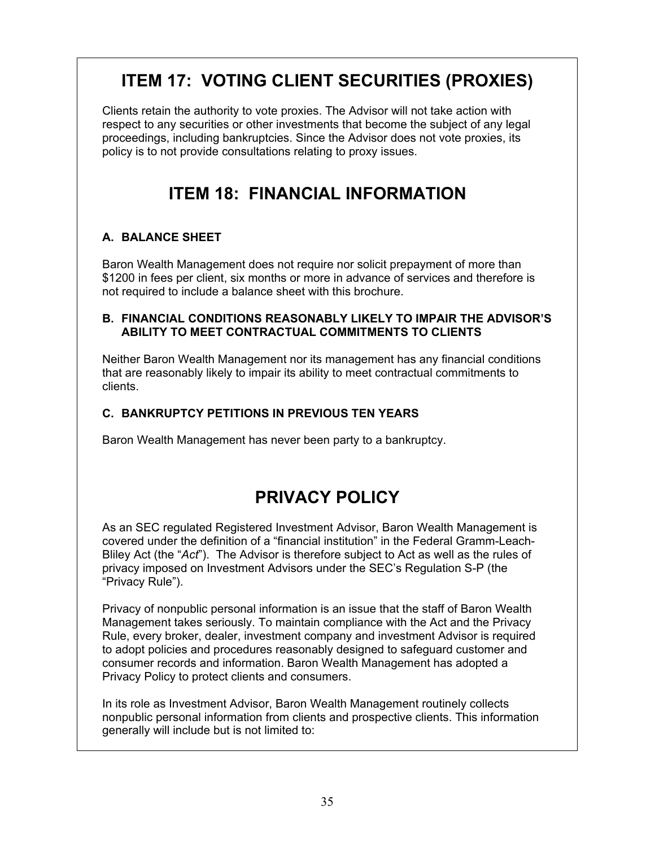### **ITEM 17: VOTING CLIENT SECURITIES (PROXIES)**

Clients retain the authority to vote proxies. The Advisor will not take action with respect to any securities or other investments that become the subject of any legal proceedings, including bankruptcies. Since the Advisor does not vote proxies, its policy is to not provide consultations relating to proxy issues.

### **ITEM 18: FINANCIAL INFORMATION**

#### **A. BALANCE SHEET**

Baron Wealth Management does not require nor solicit prepayment of more than \$1200 in fees per client, six months or more in advance of services and therefore is not required to include a balance sheet with this brochure.

#### **B. FINANCIAL CONDITIONS REASONABLY LIKELY TO IMPAIR THE ADVISOR'S ABILITY TO MEET CONTRACTUAL COMMITMENTS TO CLIENTS**

Neither Baron Wealth Management nor its management has any financial conditions that are reasonably likely to impair its ability to meet contractual commitments to clients.

#### **C. BANKRUPTCY PETITIONS IN PREVIOUS TEN YEARS**

Baron Wealth Management has never been party to a bankruptcy.

## **PRIVACY POLICY**

As an SEC regulated Registered Investment Advisor, Baron Wealth Management is covered under the definition of a "financial institution" in the Federal Gramm-Leach-Bliley Act (the "*Act*"). The Advisor is therefore subject to Act as well as the rules of privacy imposed on Investment Advisors under the SEC's Regulation S-P (the "Privacy Rule").

Privacy of nonpublic personal information is an issue that the staff of Baron Wealth Management takes seriously. To maintain compliance with the Act and the Privacy Rule, every broker, dealer, investment company and investment Advisor is required to adopt policies and procedures reasonably designed to safeguard customer and consumer records and information. Baron Wealth Management has adopted a Privacy Policy to protect clients and consumers.

In its role as Investment Advisor, Baron Wealth Management routinely collects nonpublic personal information from clients and prospective clients. This information generally will include but is not limited to: